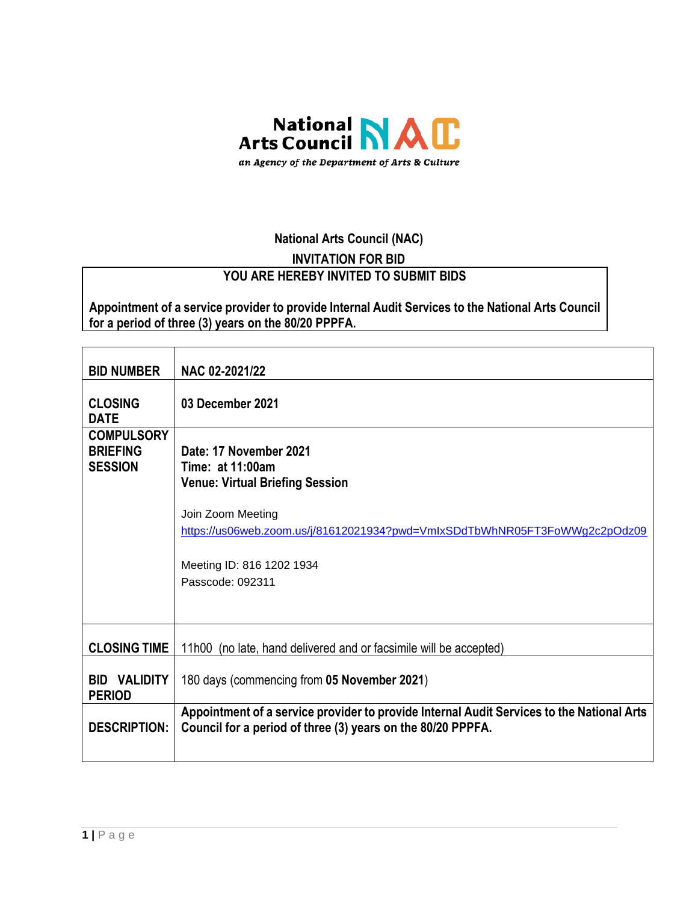

# **National Arts Council (NAC)**

# **INVITATION FOR BID**

#### **YOU ARE HEREBY INVITED TO SUBMIT BIDS**

**Appointment of a service provider to provide Internal Audit Services to the National Arts Council for a period of three (3) years on the 80/20 PPPFA.**

| <b>BID NUMBER</b>                                      | NAC 02-2021/22                                                                                                                                                                                                                           |
|--------------------------------------------------------|------------------------------------------------------------------------------------------------------------------------------------------------------------------------------------------------------------------------------------------|
| <b>CLOSING</b><br><b>DATE</b>                          | 03 December 2021                                                                                                                                                                                                                         |
| <b>COMPULSORY</b><br><b>BRIEFING</b><br><b>SESSION</b> | Date: 17 November 2021<br>Time: at 11:00am<br><b>Venue: Virtual Briefing Session</b><br>Join Zoom Meeting<br>https://us06web.zoom.us/j/81612021934?pwd=VmlxSDdTbWhNR05FT3FoWWg2c2pOdz09<br>Meeting ID: 816 1202 1934<br>Passcode: 092311 |
| <b>CLOSING TIME</b>                                    | 11h00 (no late, hand delivered and or facsimile will be accepted)                                                                                                                                                                        |
| <b>BID VALIDITY</b><br><b>PERIOD</b>                   | 180 days (commencing from 05 November 2021)                                                                                                                                                                                              |
| <b>DESCRIPTION:</b>                                    | Appointment of a service provider to provide Internal Audit Services to the National Arts<br>Council for a period of three (3) years on the 80/20 PPPFA.                                                                                 |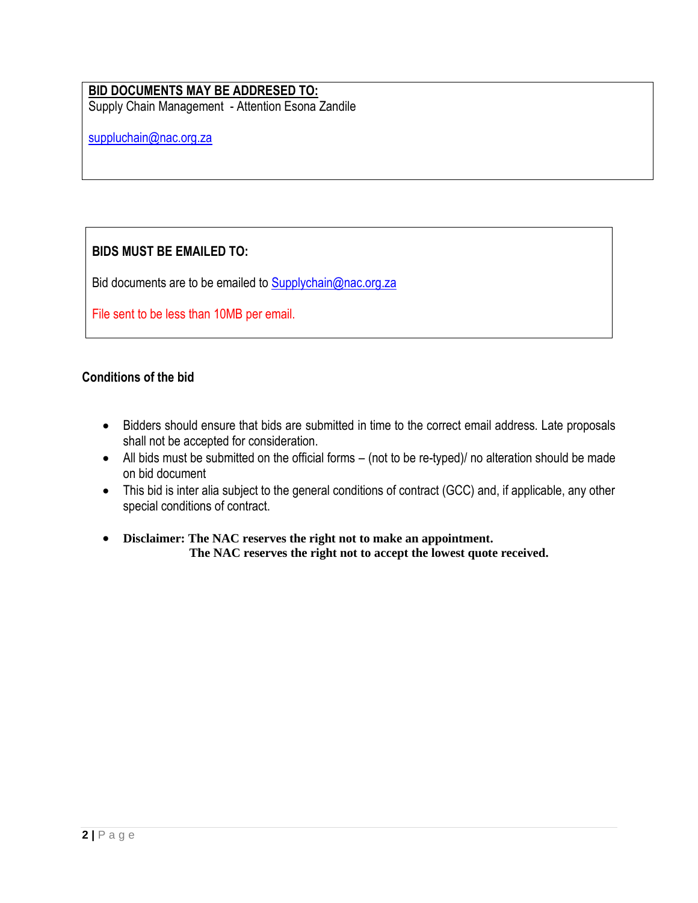#### **BID DOCUMENTS MAY BE ADDRESED TO:**

Supply Chain Management - Attention Esona Zandile

[suppluchain@nac.org.za](mailto:suppluchain@nac.org.za)

# **BIDS MUST BE EMAILED TO:**

Bid documents are to be emailed to [Supplychain@nac.org.za](mailto:Supplychain@nac.org.za)

File sent to be less than 10MB per email.

#### **Conditions of the bid**

- Bidders should ensure that bids are submitted in time to the correct email address. Late proposals shall not be accepted for consideration.
- All bids must be submitted on the official forms (not to be re-typed)/ no alteration should be made on bid document
- This bid is inter alia subject to the general conditions of contract (GCC) and, if applicable, any other special conditions of contract.
- **Disclaimer: The NAC reserves the right not to make an appointment. The NAC reserves the right not to accept the lowest quote received.**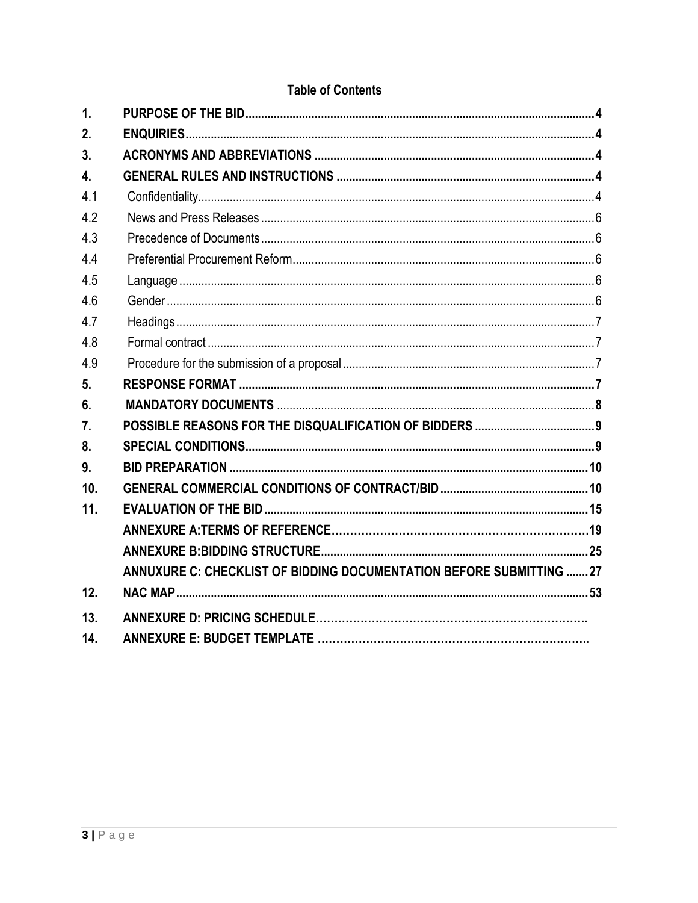| $\mathbf 1$<br>2.<br>3.<br>$\overline{4}$ .<br>4.1<br>4.2<br>4.3<br>44<br>4.5<br>4.6<br>4.7<br>4.8<br>4.9<br>5.<br>6.<br>7.<br>8.<br>9.<br>10.<br>11.<br>ANNUXURE C: CHECKLIST OF BIDDING DOCUMENTATION BEFORE SUBMITTING 27<br>12.<br>13.<br>14. |  |  |
|---------------------------------------------------------------------------------------------------------------------------------------------------------------------------------------------------------------------------------------------------|--|--|
|                                                                                                                                                                                                                                                   |  |  |
|                                                                                                                                                                                                                                                   |  |  |
|                                                                                                                                                                                                                                                   |  |  |
|                                                                                                                                                                                                                                                   |  |  |
|                                                                                                                                                                                                                                                   |  |  |
|                                                                                                                                                                                                                                                   |  |  |
|                                                                                                                                                                                                                                                   |  |  |
|                                                                                                                                                                                                                                                   |  |  |
|                                                                                                                                                                                                                                                   |  |  |
|                                                                                                                                                                                                                                                   |  |  |
|                                                                                                                                                                                                                                                   |  |  |
|                                                                                                                                                                                                                                                   |  |  |
|                                                                                                                                                                                                                                                   |  |  |
|                                                                                                                                                                                                                                                   |  |  |
|                                                                                                                                                                                                                                                   |  |  |
|                                                                                                                                                                                                                                                   |  |  |
|                                                                                                                                                                                                                                                   |  |  |
|                                                                                                                                                                                                                                                   |  |  |
|                                                                                                                                                                                                                                                   |  |  |
|                                                                                                                                                                                                                                                   |  |  |
|                                                                                                                                                                                                                                                   |  |  |
|                                                                                                                                                                                                                                                   |  |  |
|                                                                                                                                                                                                                                                   |  |  |
|                                                                                                                                                                                                                                                   |  |  |
|                                                                                                                                                                                                                                                   |  |  |
|                                                                                                                                                                                                                                                   |  |  |

# **Table of Contents**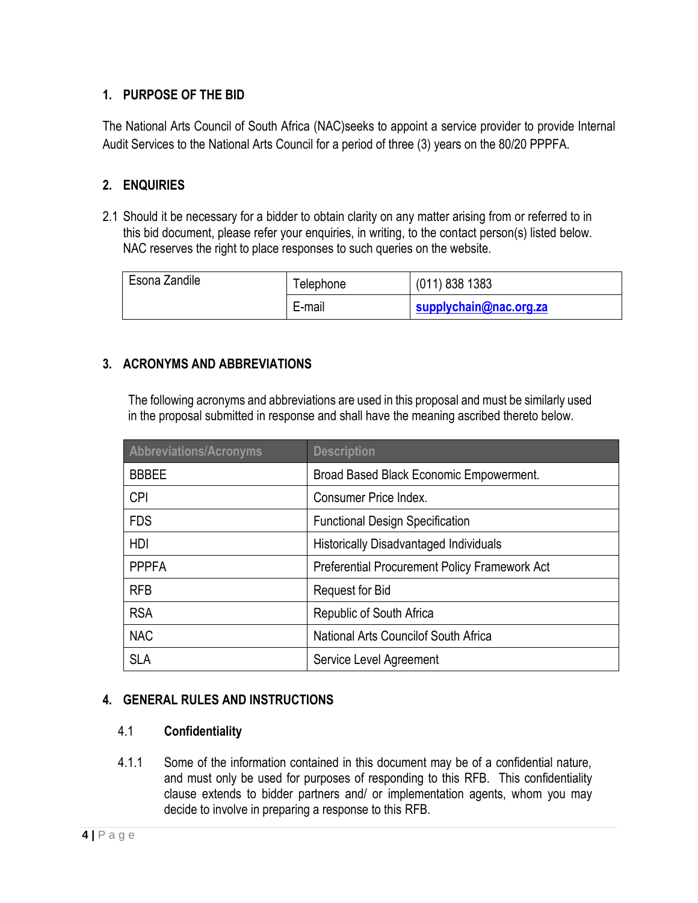## <span id="page-3-0"></span>**1. PURPOSE OF THE BID**

The National Arts Council of South Africa (NAC)seeks to appoint a service provider to provide Internal Audit Services to the National Arts Council for a period of three (3) years on the 80/20 PPPFA.

## <span id="page-3-1"></span>**2. ENQUIRIES**

2.1 Should it be necessary for a bidder to obtain clarity on any matter arising from or referred to in this bid document, please refer your enquiries, in writing, to the contact person(s) listed below. NAC reserves the right to place responses to such queries on the website.

| Esona Zandile | l elephone | $(011)$ 838 1383       |
|---------------|------------|------------------------|
|               | E-mail     | supplychain@nac.org.za |

#### <span id="page-3-2"></span>**3. ACRONYMS AND ABBREVIATIONS**

The following acronyms and abbreviations are used in this proposal and must be similarly used in the proposal submitted in response and shall have the meaning ascribed thereto below.

| Abbreviations/Acronyms | <b>Description</b>                            |
|------------------------|-----------------------------------------------|
| <b>BBBEE</b>           | Broad Based Black Economic Empowerment.       |
| <b>CPI</b>             | Consumer Price Index.                         |
| <b>FDS</b>             | <b>Functional Design Specification</b>        |
| HDI                    | <b>Historically Disadvantaged Individuals</b> |
| <b>PPPFA</b>           | Preferential Procurement Policy Framework Act |
| <b>RFB</b>             | Request for Bid                               |
| <b>RSA</b>             | Republic of South Africa                      |
| <b>NAC</b>             | National Arts Councilof South Africa          |
| <b>SLA</b>             | Service Level Agreement                       |

#### <span id="page-3-3"></span>**4. GENERAL RULES AND INSTRUCTIONS**

#### <span id="page-3-4"></span>4.1 **Confidentiality**

4.1.1 Some of the information contained in this document may be of a confidential nature, and must only be used for purposes of responding to this RFB. This confidentiality clause extends to bidder partners and/ or implementation agents, whom you may decide to involve in preparing a response to this RFB.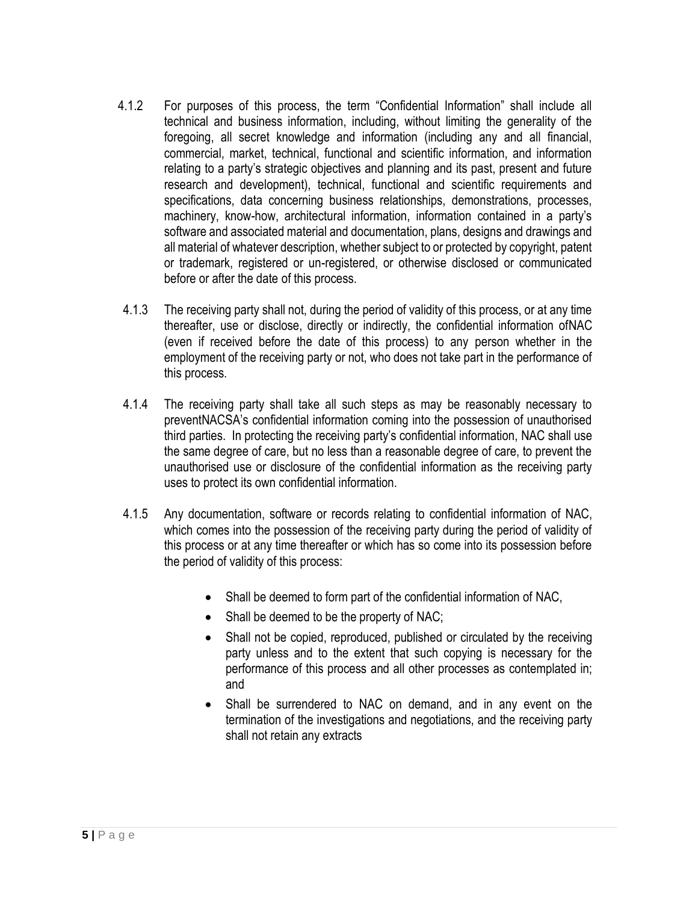- 4.1.2 For purposes of this process, the term "Confidential Information" shall include all technical and business information, including, without limiting the generality of the foregoing, all secret knowledge and information (including any and all financial, commercial, market, technical, functional and scientific information, and information relating to a party's strategic objectives and planning and its past, present and future research and development), technical, functional and scientific requirements and specifications, data concerning business relationships, demonstrations, processes, machinery, know-how, architectural information, information contained in a party's software and associated material and documentation, plans, designs and drawings and all material of whatever description, whether subject to or protected by copyright, patent or trademark, registered or un-registered, or otherwise disclosed or communicated before or after the date of this process.
- 4.1.3 The receiving party shall not, during the period of validity of this process, or at any time thereafter, use or disclose, directly or indirectly, the confidential information ofNAC (even if received before the date of this process) to any person whether in the employment of the receiving party or not, who does not take part in the performance of this process.
- 4.1.4 The receiving party shall take all such steps as may be reasonably necessary to preventNACSA's confidential information coming into the possession of unauthorised third parties. In protecting the receiving party's confidential information, NAC shall use the same degree of care, but no less than a reasonable degree of care, to prevent the unauthorised use or disclosure of the confidential information as the receiving party uses to protect its own confidential information.
- 4.1.5 Any documentation, software or records relating to confidential information of NAC, which comes into the possession of the receiving party during the period of validity of this process or at any time thereafter or which has so come into its possession before the period of validity of this process:
	- Shall be deemed to form part of the confidential information of NAC,
	- Shall be deemed to be the property of NAC;
	- Shall not be copied, reproduced, published or circulated by the receiving party unless and to the extent that such copying is necessary for the performance of this process and all other processes as contemplated in; and
	- Shall be surrendered to NAC on demand, and in any event on the termination of the investigations and negotiations, and the receiving party shall not retain any extracts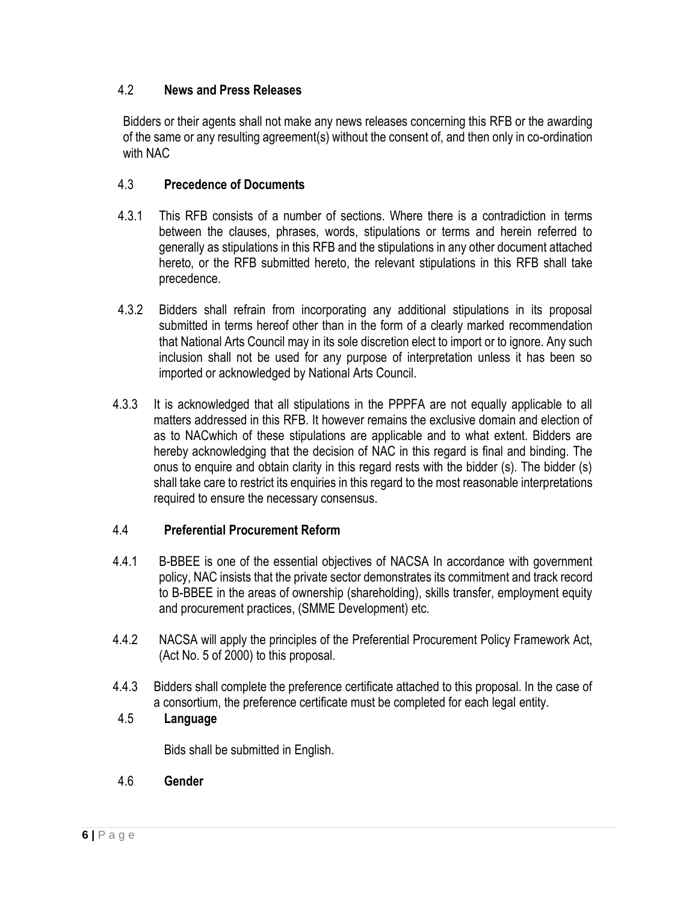#### <span id="page-5-0"></span>4.2 **News and Press Releases**

Bidders or their agents shall not make any news releases concerning this RFB or the awarding of the same or any resulting agreement(s) without the consent of, and then only in co-ordination with NAC

#### <span id="page-5-1"></span>4.3 **Precedence of Documents**

- 4.3.1 This RFB consists of a number of sections. Where there is a contradiction in terms between the clauses, phrases, words, stipulations or terms and herein referred to generally as stipulations in this RFB and the stipulations in any other document attached hereto, or the RFB submitted hereto, the relevant stipulations in this RFB shall take precedence.
- 4.3.2 Bidders shall refrain from incorporating any additional stipulations in its proposal submitted in terms hereof other than in the form of a clearly marked recommendation that National Arts Council may in its sole discretion elect to import or to ignore. Any such inclusion shall not be used for any purpose of interpretation unless it has been so imported or acknowledged by National Arts Council.
- 4.3.3 It is acknowledged that all stipulations in the PPPFA are not equally applicable to all matters addressed in this RFB. It however remains the exclusive domain and election of as to NACwhich of these stipulations are applicable and to what extent. Bidders are hereby acknowledging that the decision of NAC in this regard is final and binding. The onus to enquire and obtain clarity in this regard rests with the bidder (s). The bidder (s) shall take care to restrict its enquiries in this regard to the most reasonable interpretations required to ensure the necessary consensus.

#### <span id="page-5-2"></span>4.4 **Preferential Procurement Reform**

- 4.4.1 B-BBEE is one of the essential objectives of NACSA In accordance with government policy, NAC insists that the private sector demonstrates its commitment and track record to B-BBEE in the areas of ownership (shareholding), skills transfer, employment equity and procurement practices, (SMME Development) etc.
- 4.4.2 NACSA will apply the principles of the Preferential Procurement Policy Framework Act, (Act No. 5 of 2000) to this proposal.
- 4.4.3 Bidders shall complete the preference certificate attached to this proposal. In the case of a consortium, the preference certificate must be completed for each legal entity.

# <span id="page-5-3"></span>4.5 **Language**

Bids shall be submitted in English.

# <span id="page-5-4"></span>4.6 **Gender**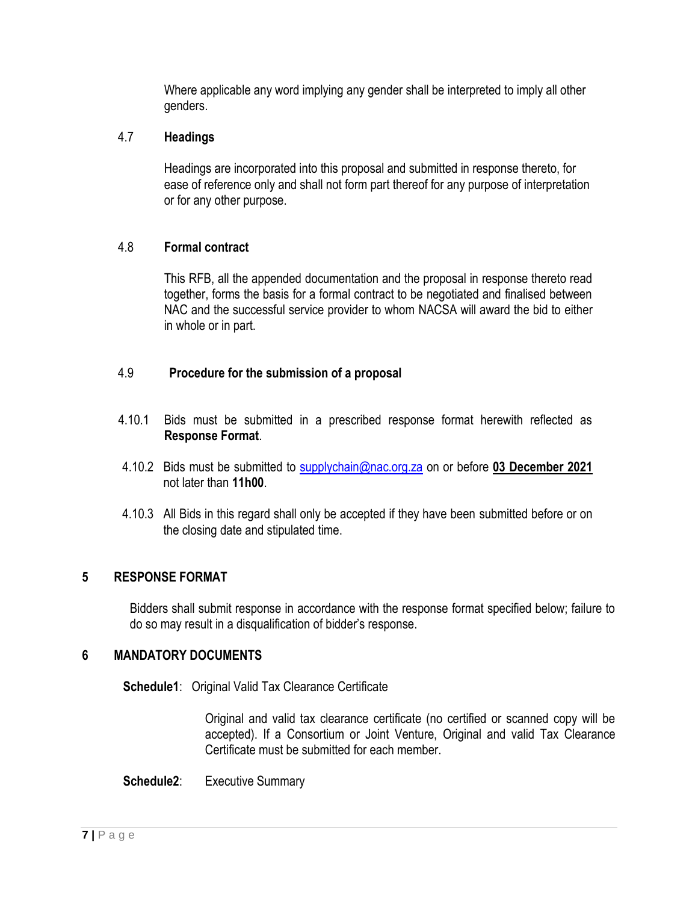Where applicable any word implying any gender shall be interpreted to imply all other genders.

#### <span id="page-6-0"></span>4.7 **Headings**

Headings are incorporated into this proposal and submitted in response thereto, for ease of reference only and shall not form part thereof for any purpose of interpretation or for any other purpose.

#### <span id="page-6-1"></span>4.8 **Formal contract**

This RFB, all the appended documentation and the proposal in response thereto read together, forms the basis for a formal contract to be negotiated and finalised between NAC and the successful service provider to whom NACSA will award the bid to either in whole or in part.

#### <span id="page-6-2"></span>4.9 **Procedure for the submission of a proposal**

- 4.10.1 Bids must be submitted in a prescribed response format herewith reflected as **Response Format**.
- 4.10.2 Bids must be submitted to [supplychain@nac.org.za](mailto:supplychain@nac.org.za) on or before **03 December 2021** not later than **11h00**.
- 4.10.3 All Bids in this regard shall only be accepted if they have been submitted before or on the closing date and stipulated time.

# <span id="page-6-3"></span>**5 RESPONSE FORMAT**

Bidders shall submit response in accordance with the response format specified below; failure to do so may result in a disqualification of bidder's response.

#### **6 MANDATORY DOCUMENTS**

**Schedule1**: Original Valid Tax Clearance Certificate

<span id="page-6-4"></span>Original and valid tax clearance certificate (no certified or scanned copy will be accepted). If a Consortium or Joint Venture, Original and valid Tax Clearance Certificate must be submitted for each member.

**Schedule2**: Executive Summary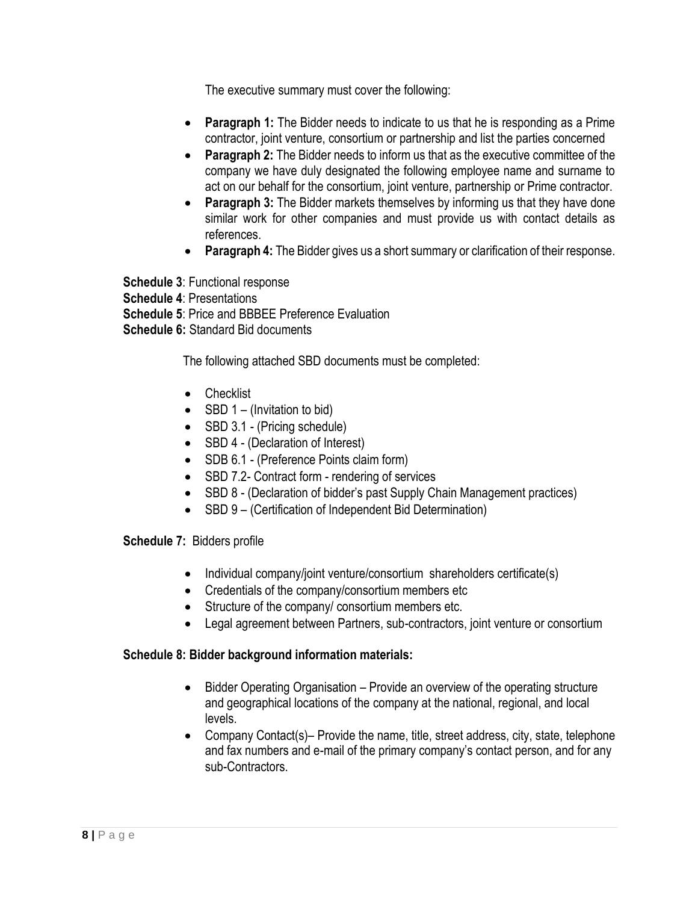The executive summary must cover the following:

- **Paragraph 1:** The Bidder needs to indicate to us that he is responding as a Prime contractor, joint venture, consortium or partnership and list the parties concerned
- **Paragraph 2:** The Bidder needs to inform us that as the executive committee of the company we have duly designated the following employee name and surname to act on our behalf for the consortium, joint venture, partnership or Prime contractor.
- **Paragraph 3:** The Bidder markets themselves by informing us that they have done similar work for other companies and must provide us with contact details as references.
- **Paragraph 4:** The Bidder gives us a short summary or clarification of their response.

**Schedule 3**: Functional response **Schedule 4**: Presentations **Schedule 5: Price and BBBEE Preference Evaluation Schedule 6:** Standard Bid documents

The following attached SBD documents must be completed:

- Checklist
- SBD  $1 (Invitation to bid)$
- SBD 3.1 (Pricing schedule)
- SBD 4 (Declaration of Interest)
- SDB 6.1 (Preference Points claim form)
- SBD 7.2- Contract form rendering of services
- SBD 8 (Declaration of bidder's past Supply Chain Management practices)
- SBD 9 (Certification of Independent Bid Determination)

#### **Schedule 7:** Bidders profile

- Individual company/joint venture/consortium shareholders certificate(s)
- Credentials of the company/consortium members etc
- Structure of the company/ consortium members etc.
- Legal agreement between Partners, sub-contractors, joint venture or consortium

#### **Schedule 8: Bidder background information materials:**

- Bidder Operating Organisation Provide an overview of the operating structure and geographical locations of the company at the national, regional, and local levels.
- Company Contact(s)– Provide the name, title, street address, city, state, telephone and fax numbers and e-mail of the primary company's contact person, and for any sub-Contractors.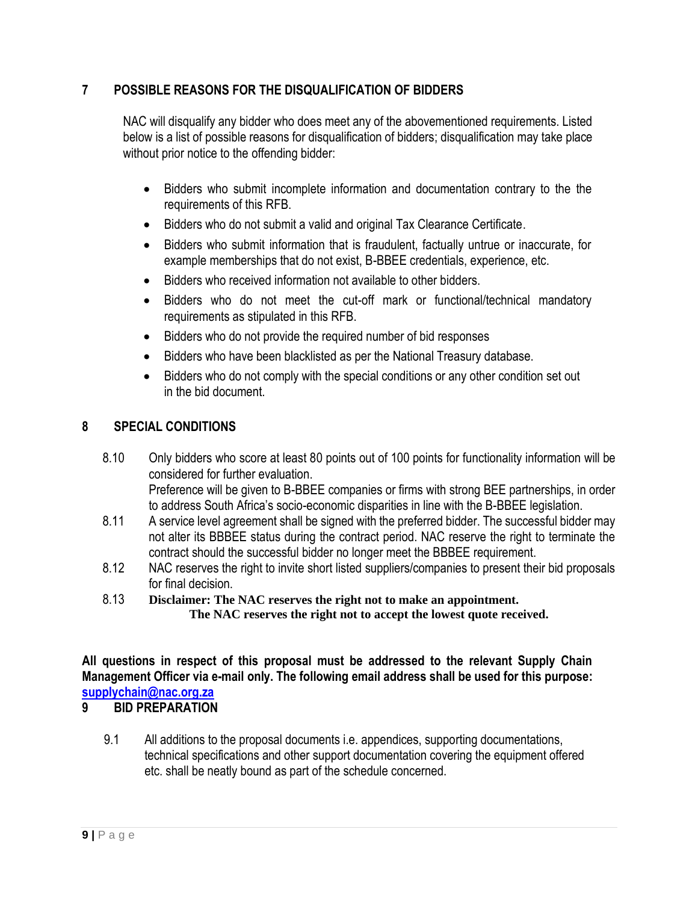## <span id="page-8-0"></span>**7 POSSIBLE REASONS FOR THE DISQUALIFICATION OF BIDDERS**

NAC will disqualify any bidder who does meet any of the abovementioned requirements. Listed below is a list of possible reasons for disqualification of bidders; disqualification may take place without prior notice to the offending bidder:

- Bidders who submit incomplete information and documentation contrary to the the requirements of this RFB.
- Bidders who do not submit a valid and original Tax Clearance Certificate.
- Bidders who submit information that is fraudulent, factually untrue or inaccurate, for example memberships that do not exist, B-BBEE credentials, experience, etc.
- Bidders who received information not available to other bidders.
- Bidders who do not meet the cut-off mark or functional/technical mandatory requirements as stipulated in this RFB.
- Bidders who do not provide the required number of bid responses
- Bidders who have been blacklisted as per the National Treasury database.
- Bidders who do not comply with the special conditions or any other condition set out in the bid document.

#### <span id="page-8-1"></span>**8 SPECIAL CONDITIONS**

- 8.10 Only bidders who score at least 80 points out of 100 points for functionality information will be considered for further evaluation. Preference will be given to B-BBEE companies or firms with strong BEE partnerships, in order to address South Africa's socio-economic disparities in line with the B-BBEE legislation.
- 8.11 A service level agreement shall be signed with the preferred bidder. The successful bidder mav not alter its BBBEE status during the contract period. NAC reserve the right to terminate the contract should the successful bidder no longer meet the BBBEE requirement.
- 8.12 NAC reserves the right to invite short listed suppliers/companies to present their bid proposals for final decision.
- 8.13 **Disclaimer: The NAC reserves the right not to make an appointment. The NAC reserves the right not to accept the lowest quote received.**

**All questions in respect of this proposal must be addressed to the relevant Supply Chain Management Officer via e-mail only. The following email address shall be used for this purpose: [supplychain@nac.org.za](mailto:supplychain@nac.org.za)**

#### <span id="page-8-2"></span>**9 BID PREPARATION**

 9.1 All additions to the proposal documents i.e. appendices, supporting documentations, technical specifications and other support documentation covering the equipment offered etc. shall be neatly bound as part of the schedule concerned.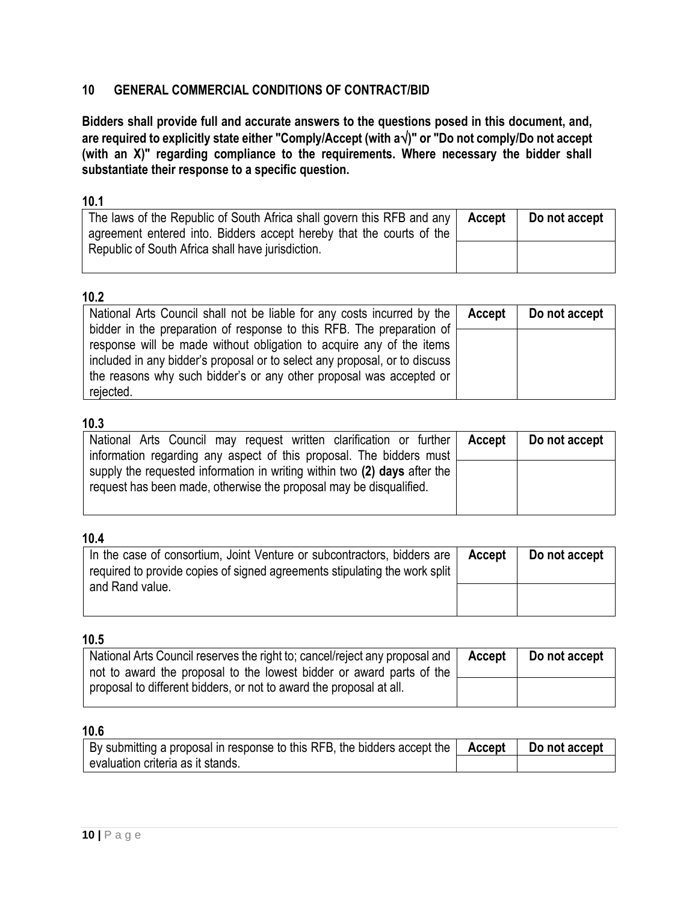#### <span id="page-9-0"></span>**10 GENERAL COMMERCIAL CONDITIONS OF CONTRACT/BID**

**Bidders shall provide full and accurate answers to the questions posed in this document, and, are required to explicitly state either "Comply/Accept (with a)" or "Do not comply/Do not accept (with an X)" regarding compliance to the requirements. Where necessary the bidder shall substantiate their response to a specific question.**

#### **10.1**

| The laws of the Republic of South Africa shall govern this RFB and any<br>agreement entered into. Bidders accept hereby that the courts of the | Accept | Do not accept |
|------------------------------------------------------------------------------------------------------------------------------------------------|--------|---------------|
| Republic of South Africa shall have jurisdiction.                                                                                              |        |               |

## **10.2**

| National Arts Council shall not be liable for any costs incurred by the   Accept                                                                                                                                                                                                                                | Do not accept |
|-----------------------------------------------------------------------------------------------------------------------------------------------------------------------------------------------------------------------------------------------------------------------------------------------------------------|---------------|
| bidder in the preparation of response to this RFB. The preparation of<br>response will be made without obligation to acquire any of the items<br>included in any bidder's proposal or to select any proposal, or to discuss<br>the reasons why such bidder's or any other proposal was accepted or<br>rejected. |               |

#### **10.3**

| National Arts Council may request written clarification or further   Accept   Do not accept |  |
|---------------------------------------------------------------------------------------------|--|
| information regarding any aspect of this proposal. The bidders must                         |  |
|                                                                                             |  |
| supply the requested information in writing within two (2) days after the                   |  |
| request has been made, otherwise the proposal may be disqualified.                          |  |
|                                                                                             |  |
|                                                                                             |  |

#### **10.4**

| In the case of consortium, Joint Venture or subcontractors, bidders are<br>required to provide copies of signed agreements stipulating the work split | Accept | Do not accept |
|-------------------------------------------------------------------------------------------------------------------------------------------------------|--------|---------------|
| and Rand value.                                                                                                                                       |        |               |

#### **10.5**

| National Arts Council reserves the right to; cancel/reject any proposal and   Accept<br>not to award the proposal to the lowest bidder or award parts of the | Do not accept |
|--------------------------------------------------------------------------------------------------------------------------------------------------------------|---------------|
| proposal to different bidders, or not to award the proposal at all.                                                                                          |               |

| $^{\prime}$ By submitting a proposal in response to this RFB, the bidders accept the $\vert$ Accept $\vert$ | Do not accept |
|-------------------------------------------------------------------------------------------------------------|---------------|
| evaluation criteria as it stands.                                                                           |               |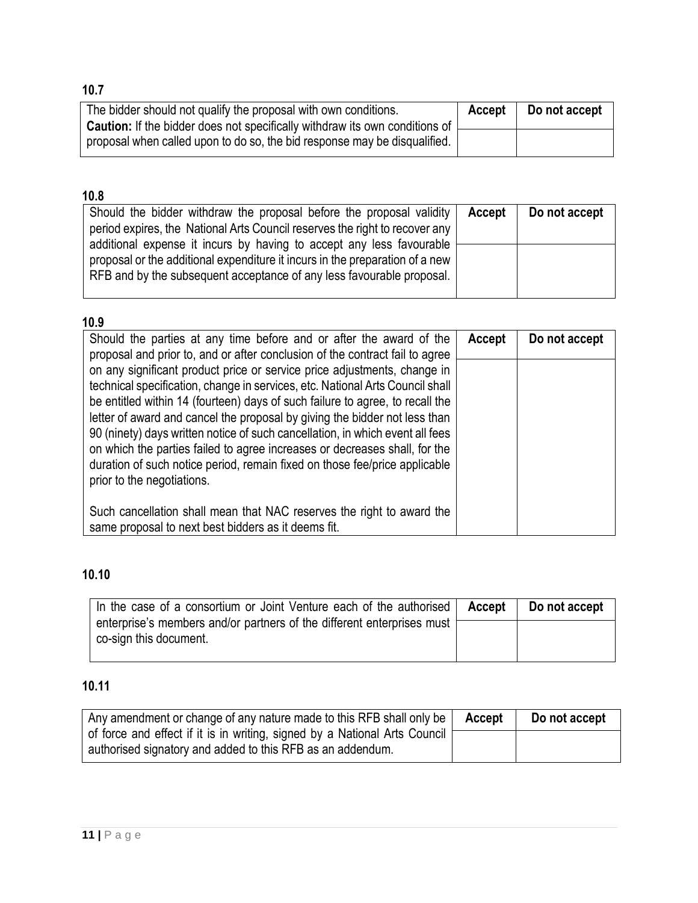| 10.7                                                                                                                                                  |        |               |
|-------------------------------------------------------------------------------------------------------------------------------------------------------|--------|---------------|
| The bidder should not qualify the proposal with own conditions.<br><b>Caution:</b> If the bidder does not specifically withdraw its own conditions of | Accept | Do not accept |
| proposal when called upon to do so, the bid response may be disqualified.                                                                             |        |               |

| Should the bidder withdraw the proposal before the proposal validity<br>period expires, the National Arts Council reserves the right to recover any                                                                           | Accept | Do not accept |
|-------------------------------------------------------------------------------------------------------------------------------------------------------------------------------------------------------------------------------|--------|---------------|
| additional expense it incurs by having to accept any less favourable<br>proposal or the additional expenditure it incurs in the preparation of a new<br>RFB and by the subsequent acceptance of any less favourable proposal. |        |               |

# **10.9**

| Should the parties at any time before and or after the award of the<br>proposal and prior to, and or after conclusion of the contract fail to agree                                                                                                                                                                                                                                                                                                                                                                                                                                                 | Accept | Do not accept |
|-----------------------------------------------------------------------------------------------------------------------------------------------------------------------------------------------------------------------------------------------------------------------------------------------------------------------------------------------------------------------------------------------------------------------------------------------------------------------------------------------------------------------------------------------------------------------------------------------------|--------|---------------|
| on any significant product price or service price adjustments, change in<br>technical specification, change in services, etc. National Arts Council shall<br>be entitled within 14 (fourteen) days of such failure to agree, to recall the<br>letter of award and cancel the proposal by giving the bidder not less than<br>90 (ninety) days written notice of such cancellation, in which event all fees<br>on which the parties failed to agree increases or decreases shall, for the<br>duration of such notice period, remain fixed on those fee/price applicable<br>prior to the negotiations. |        |               |
| Such cancellation shall mean that NAC reserves the right to award the<br>same proposal to next best bidders as it deems fit.                                                                                                                                                                                                                                                                                                                                                                                                                                                                        |        |               |

# **10.10**

| In the case of a consortium or Joint Venture each of the authorised                              | Accept | Do not accept |
|--------------------------------------------------------------------------------------------------|--------|---------------|
| enterprise's members and/or partners of the different enterprises must<br>co-sign this document. |        |               |

# **10.11**

| Any amendment or change of any nature made to this RFB shall only be $ $ Accept | Do not accept |
|---------------------------------------------------------------------------------|---------------|
| of force and effect if it is in writing, signed by a National Arts Council [    |               |
| authorised signatory and added to this RFB as an addendum.                      |               |

# **11 |** P a g e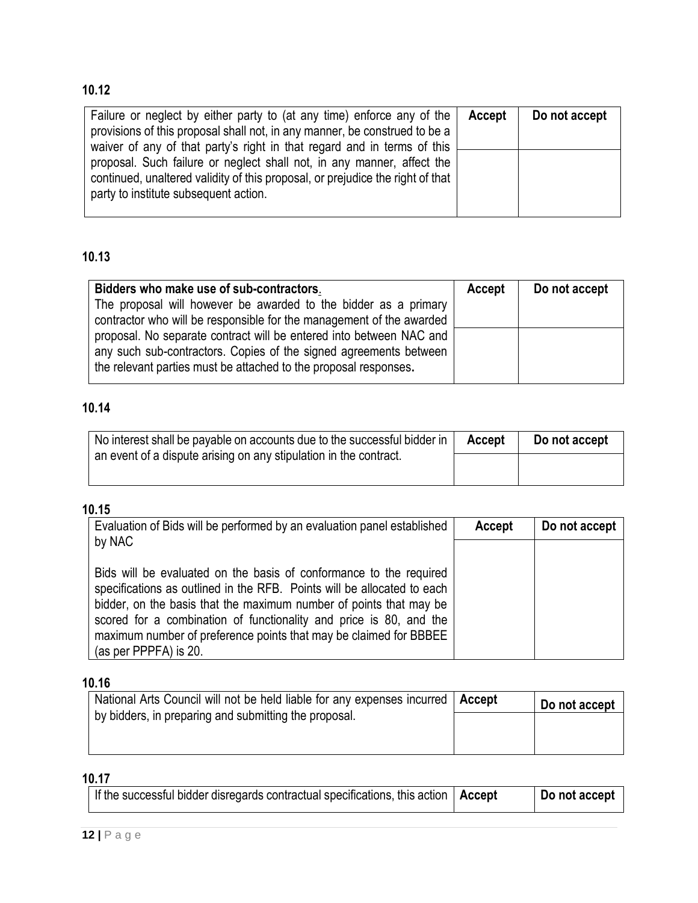| Failure or neglect by either party to (at any time) enforce any of the<br>provisions of this proposal shall not, in any manner, be construed to be a<br>waiver of any of that party's right in that regard and in terms of this | Accept | Do not accept |
|---------------------------------------------------------------------------------------------------------------------------------------------------------------------------------------------------------------------------------|--------|---------------|
| proposal. Such failure or neglect shall not, in any manner, affect the<br>continued, unaltered validity of this proposal, or prejudice the right of that<br>party to institute subsequent action.                               |        |               |

# **10.13**

| Bidders who make use of sub-contractors.<br>The proposal will however be awarded to the bidder as a primary<br>contractor who will be responsible for the management of the awarded                          | Accept | Do not accept |
|--------------------------------------------------------------------------------------------------------------------------------------------------------------------------------------------------------------|--------|---------------|
| proposal. No separate contract will be entered into between NAC and<br>any such sub-contractors. Copies of the signed agreements between<br>the relevant parties must be attached to the proposal responses. |        |               |

# **10.14**

| No interest shall be payable on accounts due to the successful bidder in | Accept | Do not accept |
|--------------------------------------------------------------------------|--------|---------------|
| an event of a dispute arising on any stipulation in the contract.        |        |               |
|                                                                          |        |               |

# **10.15**

| Evaluation of Bids will be performed by an evaluation panel established<br>by NAC                                                                                                                                                                                                                                                                                                       | Accept | Do not accept |
|-----------------------------------------------------------------------------------------------------------------------------------------------------------------------------------------------------------------------------------------------------------------------------------------------------------------------------------------------------------------------------------------|--------|---------------|
| Bids will be evaluated on the basis of conformance to the required<br>specifications as outlined in the RFB. Points will be allocated to each<br>bidder, on the basis that the maximum number of points that may be<br>scored for a combination of functionality and price is 80, and the<br>maximum number of preference points that may be claimed for BBBEE<br>(as per PPPFA) is 20. |        |               |

# **10.16**

| National Arts Council will not be held liable for any expenses incurred   Accept | Do not accept |
|----------------------------------------------------------------------------------|---------------|
| by bidders, in preparing and submitting the proposal.                            |               |
|                                                                                  |               |

| If the successful bidder disregards contractual specifications, this action $\vert$ Accept |  | Do not accept |
|--------------------------------------------------------------------------------------------|--|---------------|
|--------------------------------------------------------------------------------------------|--|---------------|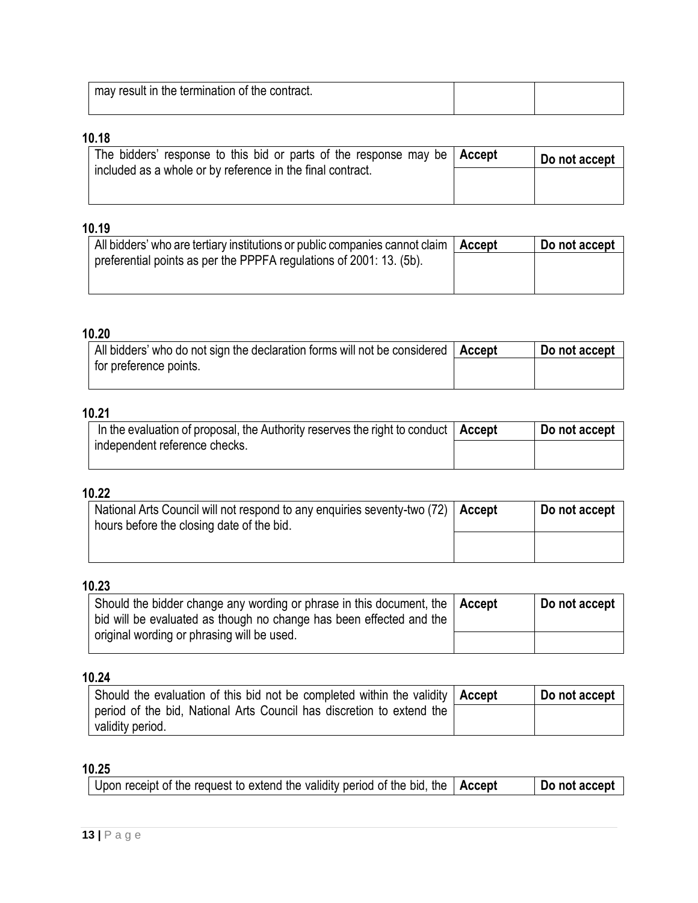| ' may result in the termination of the contract. |  |
|--------------------------------------------------|--|
|                                                  |  |

| The bidders' response to this bid or parts of the response may be $ $ Accept | Do not accept |
|------------------------------------------------------------------------------|---------------|
| included as a whole or by reference in the final contract.                   |               |
|                                                                              |               |

# **10.19**

| All bidders' who are tertiary institutions or public companies cannot claim | Accept | Do not accept |
|-----------------------------------------------------------------------------|--------|---------------|
| preferential points as per the PPPFA regulations of 2001: 13. (5b).         |        |               |
|                                                                             |        |               |
|                                                                             |        |               |

# **10.20**

| All bidders' who do not sign the declaration forms will not be considered | Accept | Do not accept |
|---------------------------------------------------------------------------|--------|---------------|
| for preference points.                                                    |        |               |
|                                                                           |        |               |

# **10.21**

| In the evaluation of proposal, the Authority reserves the right to conduct $\vert$ Accept | Do not accept |
|-------------------------------------------------------------------------------------------|---------------|
| independent reference checks.                                                             |               |
|                                                                                           |               |

# **10.22**

| National Arts Council will not respond to any enquiries seventy-two (72)   Accept<br>hours before the closing date of the bid. | Do not accept |
|--------------------------------------------------------------------------------------------------------------------------------|---------------|
|                                                                                                                                |               |

# **10.23**

| Should the bidder change any wording or phrase in this document, the $\vert$ Accept<br>bid will be evaluated as though no change has been effected and the | Do not accept |
|------------------------------------------------------------------------------------------------------------------------------------------------------------|---------------|
| original wording or phrasing will be used.                                                                                                                 |               |

## **10.24**

| Should the evaluation of this bid not be completed within the validity $ $ Accept | Do not accept |
|-----------------------------------------------------------------------------------|---------------|
| period of the bid, National Arts Council has discretion to extend the             |               |
| validity period.                                                                  |               |

| Upon receipt of the request to extend the validity period of the bid, the   Accept |  | Do not accept |
|------------------------------------------------------------------------------------|--|---------------|
|------------------------------------------------------------------------------------|--|---------------|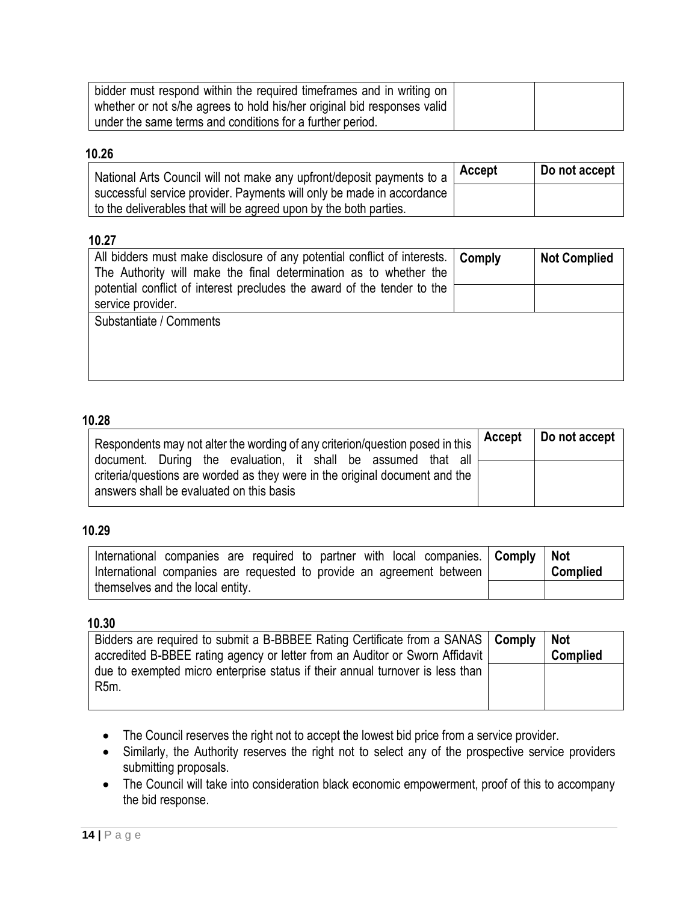| bidder must respond within the required timeframes and in writing on    |  |
|-------------------------------------------------------------------------|--|
| whether or not s/he agrees to hold his/her original bid responses valid |  |
| under the same terms and conditions for a further period.               |  |

| National Arts Council will not make any upfront/deposit payments to a | Accept | Do not accept |
|-----------------------------------------------------------------------|--------|---------------|
| successful service provider. Payments will only be made in accordance |        |               |
| to the deliverables that will be agreed upon by the both parties.     |        |               |

## **10.27**

| All bidders must make disclosure of any potential conflict of interests.<br>The Authority will make the final determination as to whether the | Comply | <b>Not Complied</b> |
|-----------------------------------------------------------------------------------------------------------------------------------------------|--------|---------------------|
| potential conflict of interest precludes the award of the tender to the<br>service provider.                                                  |        |                     |
| Substantiate / Comments                                                                                                                       |        |                     |
|                                                                                                                                               |        |                     |
|                                                                                                                                               |        |                     |
|                                                                                                                                               |        |                     |

#### **10.28**

| Respondents may not alter the wording of any criterion/question posed in this                                                                                                            | Accept   Do not accept |
|------------------------------------------------------------------------------------------------------------------------------------------------------------------------------------------|------------------------|
| document. During the evaluation, it shall be assumed that all<br>criteria/questions are worded as they were in the original document and the<br>answers shall be evaluated on this basis |                        |

# **10.29**

| International companies are required to partner with local companies. Comply   Not |  |                                                                       |                 |
|------------------------------------------------------------------------------------|--|-----------------------------------------------------------------------|-----------------|
|                                                                                    |  | International companies are requested to provide an agreement between | <b>Complied</b> |
| themselves and the local entity.                                                   |  |                                                                       |                 |

| Bidders are required to submit a B-BBBEE Rating Certificate from a SANAS   Comply | Not             |
|-----------------------------------------------------------------------------------|-----------------|
| accredited B-BBEE rating agency or letter from an Auditor or Sworn Affidavit      | <b>Complied</b> |
| due to exempted micro enterprise status if their annual turnover is less than     |                 |
| R <sub>5</sub> m.                                                                 |                 |
|                                                                                   |                 |

- The Council reserves the right not to accept the lowest bid price from a service provider.
- Similarly, the Authority reserves the right not to select any of the prospective service providers submitting proposals.
- The Council will take into consideration black economic empowerment, proof of this to accompany the bid response.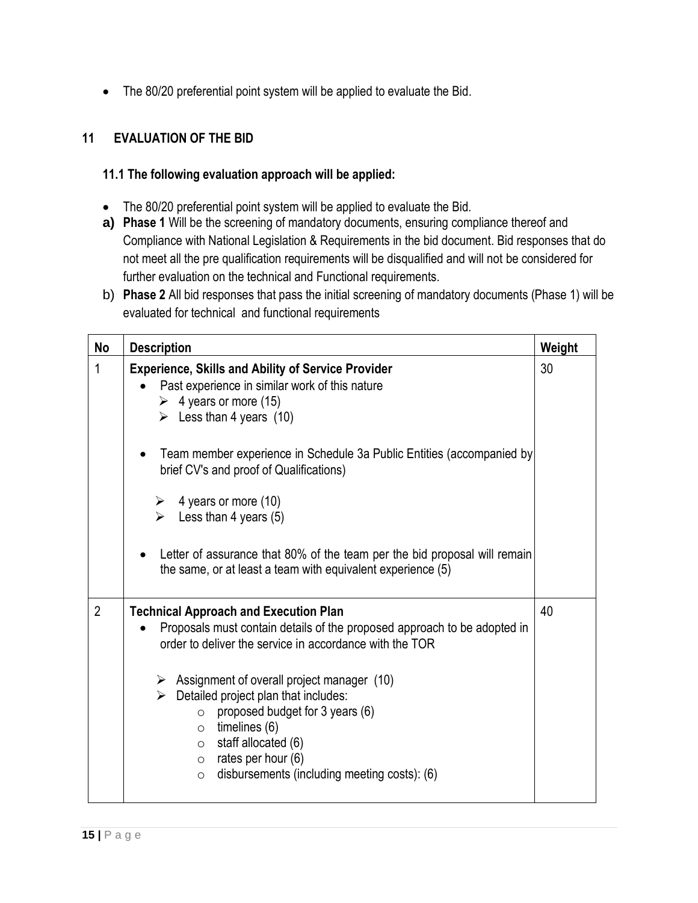• The 80/20 preferential point system will be applied to evaluate the Bid.

# <span id="page-14-0"></span>**11 EVALUATION OF THE BID**

#### **11.1 The following evaluation approach will be applied:**

- The 80/20 preferential point system will be applied to evaluate the Bid.
- **a) Phase 1** Will be the screening of mandatory documents, ensuring compliance thereof and Compliance with National Legislation & Requirements in the bid document. Bid responses that do not meet all the pre qualification requirements will be disqualified and will not be considered for further evaluation on the technical and Functional requirements.
- b) **Phase 2** All bid responses that pass the initial screening of mandatory documents (Phase 1) will be evaluated for technical and functional requirements

| No             | <b>Description</b>                                                                                                                                                                                                                                                                                                                                                                                                                                                                                                                     | Weight |
|----------------|----------------------------------------------------------------------------------------------------------------------------------------------------------------------------------------------------------------------------------------------------------------------------------------------------------------------------------------------------------------------------------------------------------------------------------------------------------------------------------------------------------------------------------------|--------|
| 1              | <b>Experience, Skills and Ability of Service Provider</b><br>Past experience in similar work of this nature<br>$\triangleright$ 4 years or more (15)<br>$\triangleright$ Less than 4 years (10)<br>Team member experience in Schedule 3a Public Entities (accompanied by<br>brief CV's and proof of Qualifications)<br>4 years or more (10)<br>➤<br>$\triangleright$ Less than 4 years (5)<br>Letter of assurance that 80% of the team per the bid proposal will remain<br>the same, or at least a team with equivalent experience (5) | 30     |
| $\overline{2}$ | <b>Technical Approach and Execution Plan</b><br>Proposals must contain details of the proposed approach to be adopted in<br>order to deliver the service in accordance with the TOR<br>$\triangleright$ Assignment of overall project manager (10)<br>Detailed project plan that includes:<br>$\triangleright$<br>proposed budget for 3 years (6)<br>$\circ$<br>$\circ$ timelines (6)<br>$\circ$ staff allocated (6)<br>$\circ$ rates per hour (6)<br>disbursements (including meeting costs): (6)<br>$\circ$                          | 40     |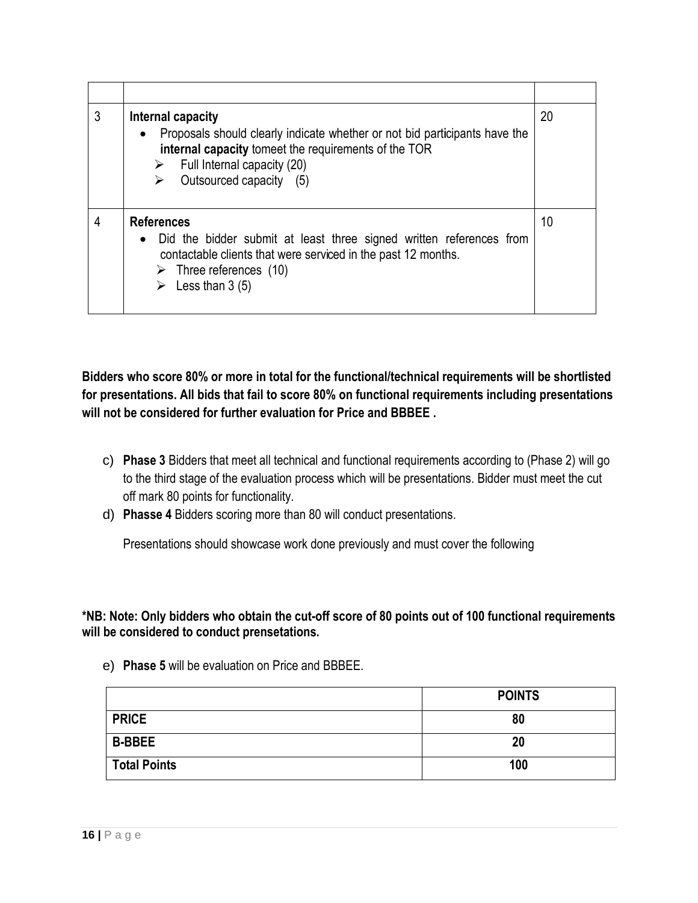| 3 | Internal capacity<br>Proposals should clearly indicate whether or not bid participants have the<br>internal capacity tomeet the requirements of the TOR<br>$\triangleright$ Full Internal capacity (20)<br>Outsourced capacity (5)      | 20 |
|---|-----------------------------------------------------------------------------------------------------------------------------------------------------------------------------------------------------------------------------------------|----|
| 4 | <b>References</b><br>Did the bidder submit at least three signed written references from<br>contactable clients that were serviced in the past 12 months.<br>$\triangleright$ Three references (10)<br>$\triangleright$ Less than 3 (5) | 10 |

**Bidders who score 80% or more in total for the functional/technical requirements will be shortlisted for presentations. All bids that fail to score 80% on functional requirements including presentations will not be considered for further evaluation for Price and BBBEE .**

- c) **Phase 3** Bidders that meet all technical and functional requirements according to (Phase 2) will go to the third stage of the evaluation process which will be presentations. Bidder must meet the cut off mark 80 points for functionality.
- d) **Phasse 4** Bidders scoring more than 80 will conduct presentations.

Presentations should showcase work done previously and must cover the following

**\*NB: Note: Only bidders who obtain the cut-off score of 80 points out of 100 functional requirements will be considered to conduct prensetations.**

|                     | <b>POINTS</b> |
|---------------------|---------------|
| <b>PRICE</b>        | 80            |
| <b>B-BBEE</b>       | 20            |
| <b>Total Points</b> | 100           |

e) **Phase 5** will be evaluation on Price and BBBEE.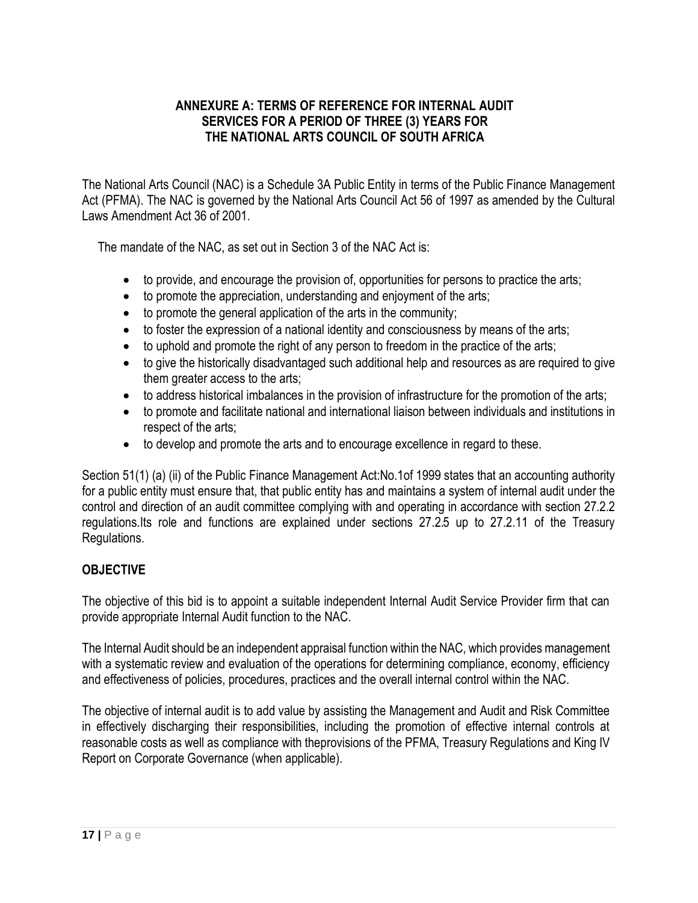## **ANNEXURE A: TERMS OF REFERENCE FOR INTERNAL AUDIT SERVICES FOR A PERIOD OF THREE (3) YEARS FOR THE NATIONAL ARTS COUNCIL OF SOUTH AFRICA**

The National Arts Council (NAC) is a Schedule 3A Public Entity in terms of the Public Finance Management Act (PFMA). The NAC is governed by the National Arts Council Act 56 of 1997 as amended by the Cultural Laws Amendment Act 36 of 2001.

The mandate of the NAC, as set out in Section 3 of the NAC Act is:

- to provide, and encourage the provision of, opportunities for persons to practice the arts;
- to promote the appreciation, understanding and enjoyment of the arts;
- to promote the general application of the arts in the community;
- to foster the expression of a national identity and consciousness by means of the arts;
- to uphold and promote the right of any person to freedom in the practice of the arts;
- to give the historically disadvantaged such additional help and resources as are required to give them greater access to the arts;
- to address historical imbalances in the provision of infrastructure for the promotion of the arts;
- to promote and facilitate national and international liaison between individuals and institutions in respect of the arts;
- to develop and promote the arts and to encourage excellence in regard to these.

Section 51(1) (a) (ii) of the Public Finance Management Act:No.1of 1999 states that an accounting authority for a public entity must ensure that, that public entity has and maintains a system of internal audit under the control and direction of an audit committee complying with and operating in accordance with section 27.2.2 regulations.Its role and functions are explained under sections 27.2.5 up to 27.2.11 of the Treasury Regulations.

# **OBJECTIVE**

The objective of this bid is to appoint a suitable independent Internal Audit Service Provider firm that can provide appropriate Internal Audit function to the NAC.

The Internal Audit should be an independent appraisal function within the NAC, which provides management with a systematic review and evaluation of the operations for determining compliance, economy, efficiency and effectiveness of policies, procedures, practices and the overall internal control within the NAC.

The objective of internal audit is to add value by assisting the Management and Audit and Risk Committee in effectively discharging their responsibilities, including the promotion of effective internal controls at reasonable costs as well as compliance with theprovisions of the PFMA, Treasury Regulations and King IV Report on Corporate Governance (when applicable).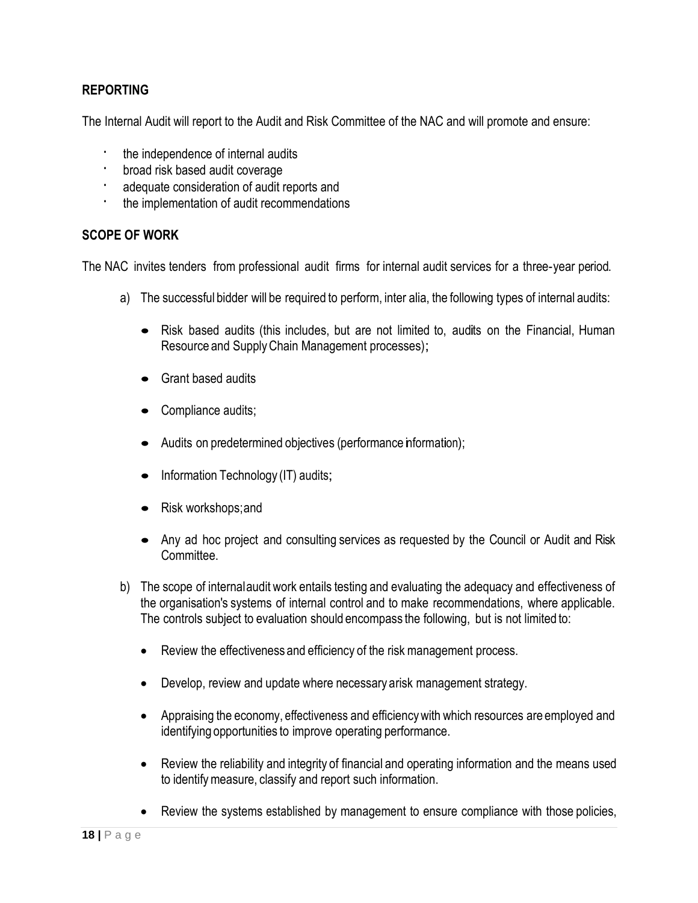#### **REPORTING**

The Internal Audit will report to the Audit and Risk Committee of the NAC and will promote and ensure:

- the independence of internal audits
- · broad risk based audit coverage
- adequate consideration of audit reports and
- · the implementation of audit recommendations

#### **SCOPE OF WORK**

The NAC invites tenders from professional audit firms for internal audit services for a three-year period.

- a) The successful bidder will be required to perform, inter alia, the following types of internal audits:
	- Risk based audits (this includes, but are not limited to, audits on the Financial, Human Resource and SupplyChain Management processes);
	- Grant based audits
	- Compliance audits;
	- Audits on predetermined objectives (performance information);
	- Information Technology (IT) audits;
	- Risk workshops; and
	- Any ad hoc project and consulting services as requested by the Council or Audit and Risk **Committee**
- b) The scope of internalaudit work entails testing and evaluating the adequacy and effectiveness of the organisation's systems of internal control and to make recommendations, where applicable. The controls subject to evaluation should encompass the following, but is not limited to:
	- Review the effectiveness and efficiency of the risk management process.
	- Develop, review and update where necessary arisk management strategy.
	- Appraising the economy, effectiveness and efficiencywith which resources are employed and identifying opportunities to improve operating performance.
	- Review the reliability and integrity of financial and operating information and the means used to identifymeasure, classify and report such information.
	- Review the systems established by management to ensure compliance with those policies,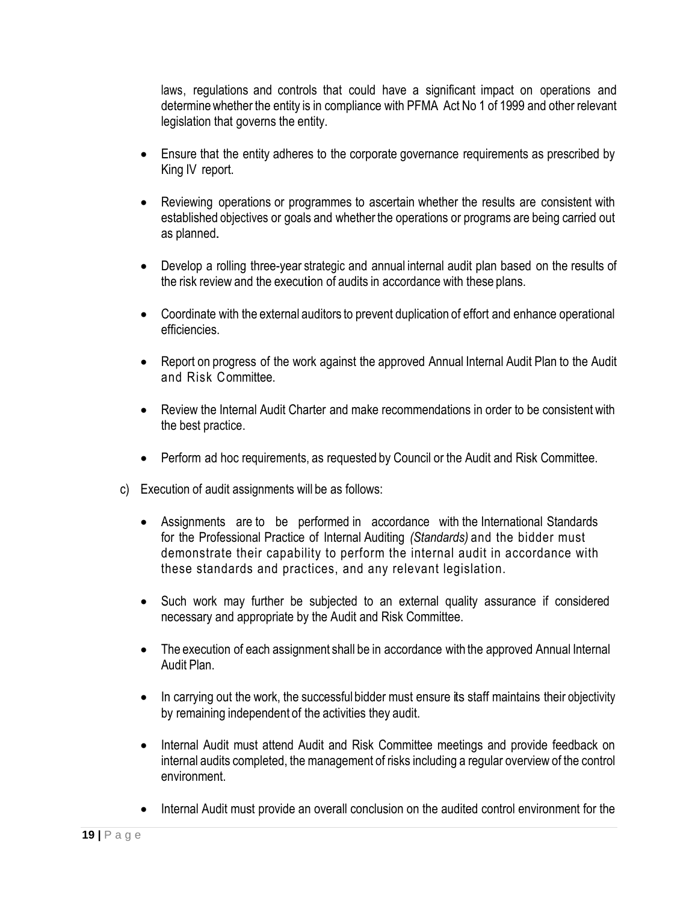laws, regulations and controls that could have a significant impact on operations and determine whether the entity is in compliance with PFMA Act No 1 of 1999 and other relevant legislation that governs the entity.

- Ensure that the entity adheres to the corporate governance requirements as prescribed by King IV report.
- Reviewing operations or programmes to ascertain whether the results are consistent with established objectives or goals and whether the operations or programs are being carried out as planned.
- Develop a rolling three-year strategic and annual internal audit plan based on the results of the risk review and the execution of audits in accordance with these plans.
- Coordinate with the external auditors to prevent duplication of effort and enhance operational efficiencies.
- Report on progress of the work against the approved Annual Internal Audit Plan to the Audit and Risk Committee.
- Review the Internal Audit Charter and make recommendations in order to be consistent with the best practice.
- Perform ad hoc requirements, as requested by Council or the Audit and Risk Committee.
- c) Execution of audit assignments will be as follows:
	- Assignments are to be performed in accordance with the International Standards for the Professional Practice of Internal Auditing *(Standards)* and the bidder must demonstrate their capability to perform the internal audit in accordance with these standards and practices, and any relevant legislation.
	- Such work may further be subjected to an external quality assurance if considered necessary and appropriate by the Audit and Risk Committee.
	- The execution of each assignment shall be in accordance with the approved Annual Internal Audit Plan.
	- In carrying out the work, the successful bidder must ensure its staff maintains their objectivity by remaining independent of the activities they audit.
	- Internal Audit must attend Audit and Risk Committee meetings and provide feedback on internal audits completed, the management of risks including a regular overview of the control environment.
	- Internal Audit must provide an overall conclusion on the audited control environment for the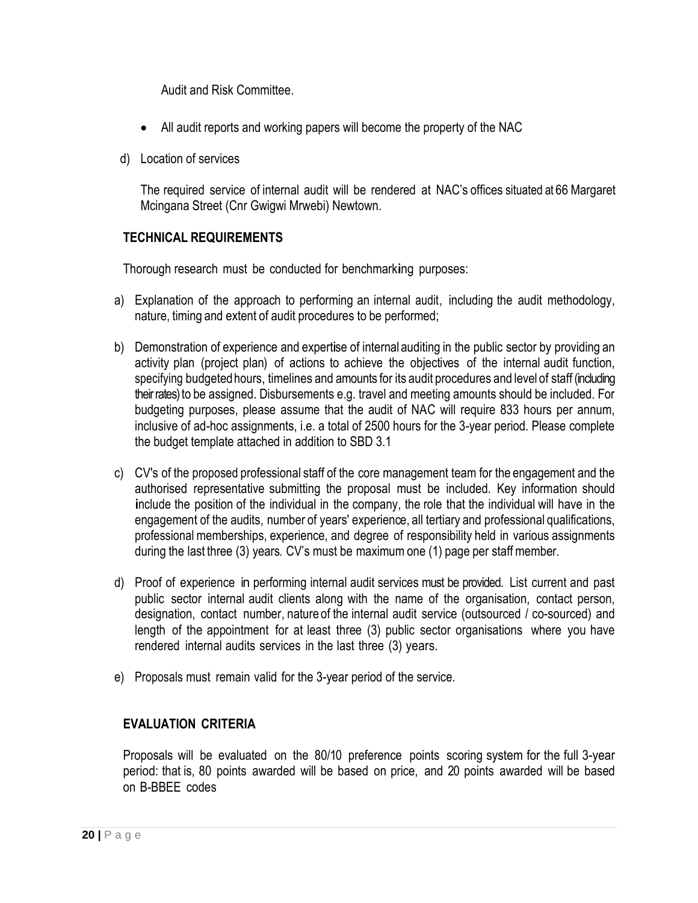Audit and Risk Committee.

- All audit reports and working papers will become the property of the NAC
- d) Location of services

The required service of internal audit will be rendered at NAC's offices situated at 66 Margaret Mcingana Street (Cnr Gwigwi Mrwebi) Newtown.

#### **TECHNICAL REQUIREMENTS**

Thorough research must be conducted for benchmarking purposes:

- a) Explanation of the approach to performing an internal audit, including the audit methodology, nature, timing and extent of audit procedures to be performed;
- b) Demonstration of experience and expertise of internal auditing in the public sector by providing an activity plan (project plan) of actions to achieve the objectives of the internal audit function, specifying budgeted hours, timelines and amounts for its audit procedures and level of staff (including their rates) to be assigned. Disbursements e.g. travel and meeting amounts should be included. For budgeting purposes, please assume that the audit of NAC will require 833 hours per annum, inclusive of ad-hoc assignments, i.e. a total of 2500 hours for the 3-year period. Please complete the budget template attached in addition to SBD 3.1
- c) CV's of the proposed professional staff of the core management team for the engagement and the authorised representative submitting the proposal must be included. Key information should include the position of the individual in the company, the role that the individual will have in the engagement of the audits, number of years' experience, all tertiary and professional qualifications, professional memberships, experience, and degree of responsibility held in various assignments during the last three (3) years. CV's must be maximum one (1) page per staff member.
- d) Proof of experience in performing internal audit services must be provided. List current and past public sector internal audit clients along with the name of the organisation, contact person, designation, contact number, nature of the internal audit service (outsourced / co-sourced) and length of the appointment for at least three (3) public sector organisations where you have rendered internal audits services in the last three (3) years.
- e) Proposals must remain valid for the 3-year period of the service.

#### **EVALUATION CRITERIA**

Proposals will be evaluated on the 80/10 preference points scoring system for the full 3-year period: that is, 80 points awarded will be based on price, and 20 points awarded will be based on B-BBEE codes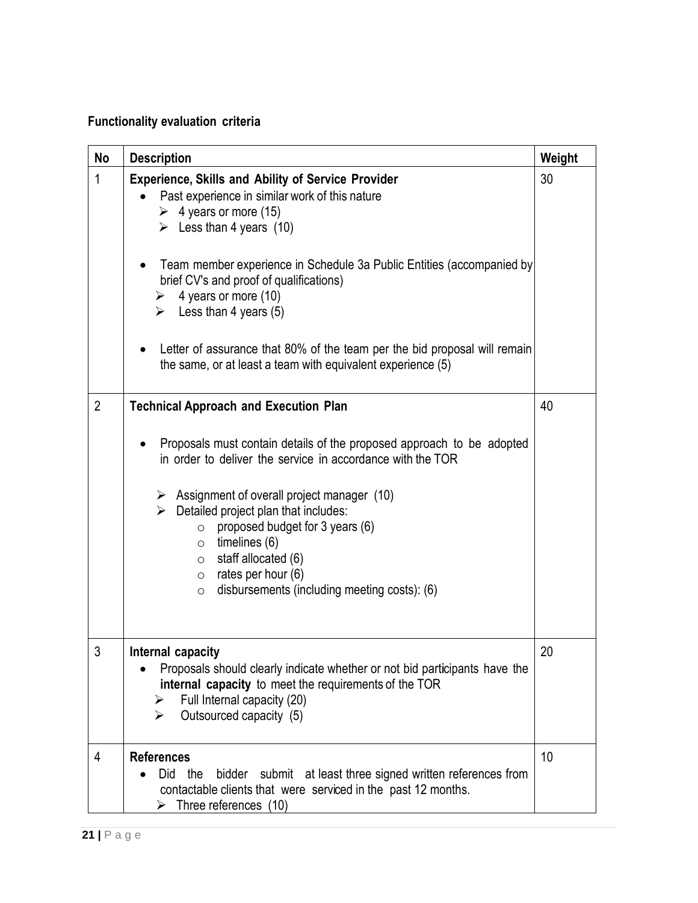# **Functionality evaluation criteria**

| No             | <b>Description</b>                                                                                                                                                                                                                                                                                                                                                                                                                                                                                                                  | Weight |
|----------------|-------------------------------------------------------------------------------------------------------------------------------------------------------------------------------------------------------------------------------------------------------------------------------------------------------------------------------------------------------------------------------------------------------------------------------------------------------------------------------------------------------------------------------------|--------|
| 1              | <b>Experience, Skills and Ability of Service Provider</b><br>Past experience in similar work of this nature<br>$\triangleright$ 4 years or more (15)<br>Eess than 4 years $(10)$<br>Team member experience in Schedule 3a Public Entities (accompanied by<br>brief CV's and proof of qualifications)<br>$\triangleright$ 4 years or more (10)<br>$\triangleright$ Less than 4 years (5)<br>Letter of assurance that 80% of the team per the bid proposal will remain<br>the same, or at least a team with equivalent experience (5) | 30     |
| $\overline{2}$ | <b>Technical Approach and Execution Plan</b><br>Proposals must contain details of the proposed approach to be adopted<br>in order to deliver the service in accordance with the TOR<br>$\triangleright$ Assignment of overall project manager (10)<br>$\triangleright$ Detailed project plan that includes:<br>proposed budget for 3 years (6)<br>$\circ$<br>$\circ$ timelines (6)<br>$\circ$ staff allocated (6)<br>$\circ$ rates per hour (6)<br>disbursements (including meeting costs): (6)<br>$\circ$                          | 40     |
| 3              | Internal capacity<br>Proposals should clearly indicate whether or not bid participants have the<br>internal capacity to meet the requirements of the TOR<br>Full Internal capacity (20)<br>Outsourced capacity (5)<br>⋗                                                                                                                                                                                                                                                                                                             | 20     |
| 4              | <b>References</b><br>bidder submit at least three signed written references from<br>Did<br>the<br>contactable clients that were serviced in the past 12 months.<br>Three references (10)<br>⋗                                                                                                                                                                                                                                                                                                                                       | 10     |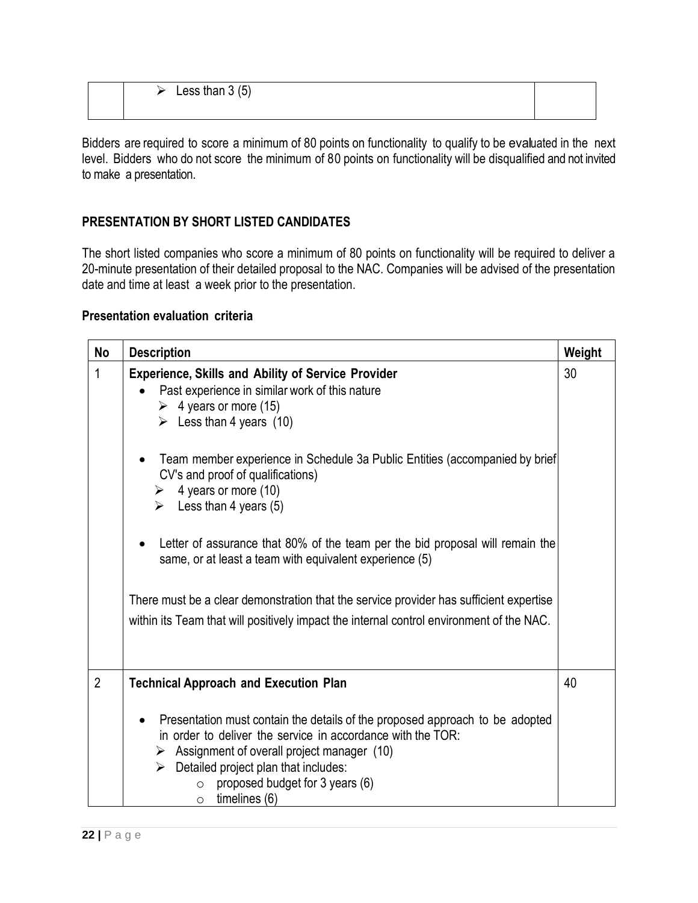| Less than $3(5)$ |  |
|------------------|--|
|                  |  |

Bidders are required to score a minimum of 80 points on functionality to qualify to be evaluated in the next level. Bidders who do not score the minimum of 80 points on functionality will be disqualified and not invited to make a presentation.

## **PRESENTATION BY SHORT LISTED CANDIDATES**

The short listed companies who score a minimum of 80 points on functionality will be required to deliver a 20-minute presentation of their detailed proposal to the NAC. Companies will be advised of the presentation date and time at least a week prior to the presentation.

#### **Presentation evaluation criteria**

| No             | <b>Description</b>                                                                                                                                                                                                                                                                                                                      | Weight |
|----------------|-----------------------------------------------------------------------------------------------------------------------------------------------------------------------------------------------------------------------------------------------------------------------------------------------------------------------------------------|--------|
| 1              | <b>Experience, Skills and Ability of Service Provider</b><br>Past experience in similar work of this nature<br>$\triangleright$ 4 years or more (15)<br>$\triangleright$ Less than 4 years (10)                                                                                                                                         | 30     |
|                | Team member experience in Schedule 3a Public Entities (accompanied by brief<br>CV's and proof of qualifications)<br>4 years or more (10)<br>➤<br>$\triangleright$ Less than 4 years (5)                                                                                                                                                 |        |
|                | Letter of assurance that 80% of the team per the bid proposal will remain the<br>same, or at least a team with equivalent experience (5)                                                                                                                                                                                                |        |
|                | There must be a clear demonstration that the service provider has sufficient expertise                                                                                                                                                                                                                                                  |        |
|                | within its Team that will positively impact the internal control environment of the NAC.                                                                                                                                                                                                                                                |        |
| $\overline{2}$ | <b>Technical Approach and Execution Plan</b>                                                                                                                                                                                                                                                                                            | 40     |
|                | Presentation must contain the details of the proposed approach to be adopted<br>in order to deliver the service in accordance with the TOR:<br>$\triangleright$ Assignment of overall project manager (10)<br>$\triangleright$ Detailed project plan that includes:<br>proposed budget for 3 years (6)<br>$\circ$<br>timelines (6)<br>O |        |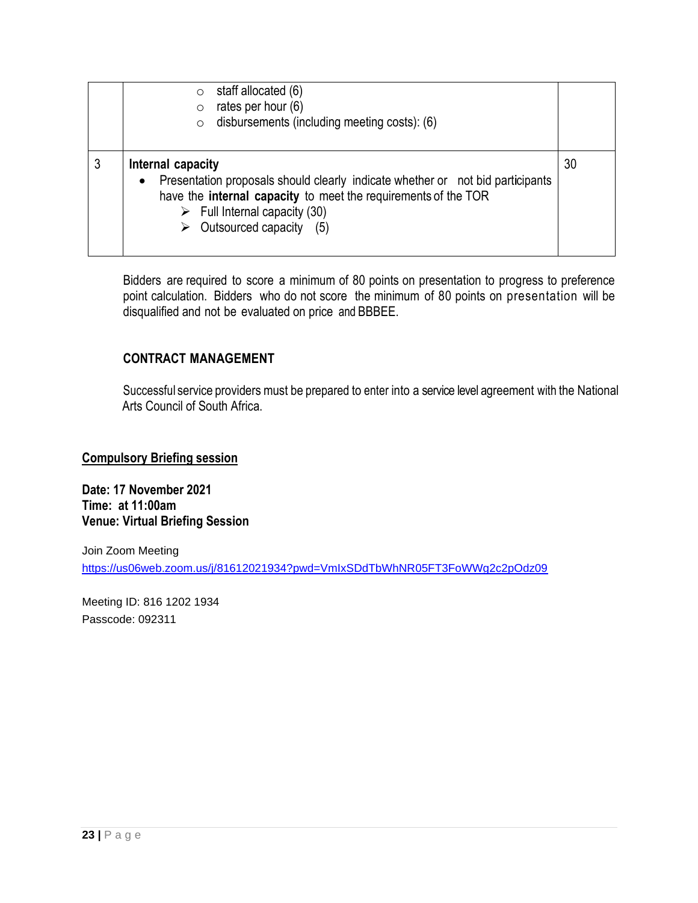|   | staff allocated (6)<br>$\circ$<br>rates per hour (6)<br>$\circ$<br>disbursements (including meeting costs): (6)<br>$\circ$                                                                                                                                       |    |
|---|------------------------------------------------------------------------------------------------------------------------------------------------------------------------------------------------------------------------------------------------------------------|----|
| 3 | Internal capacity<br>Presentation proposals should clearly indicate whether or not bid participants<br>$\bullet$<br>have the internal capacity to meet the requirements of the TOR<br>$\triangleright$ Full Internal capacity (30)<br>Outsourced capacity<br>(5) | 30 |

Bidders are required to score a minimum of 80 points on presentation to progress to preference point calculation. Bidders who do not score the minimum of 80 points on presentation will be disqualified and not be evaluated on price and BBBEE.

#### **CONTRACT MANAGEMENT**

Successful service providers must be prepared to enter into a service level agreement with the National Arts Council of South Africa.

**Compulsory Briefing session**

**Date: 17 November 2021 Time: at 11:00am Venue: Virtual Briefing Session** 

Join Zoom Meeting <https://us06web.zoom.us/j/81612021934?pwd=VmIxSDdTbWhNR05FT3FoWWg2c2pOdz09>

Meeting ID: 816 1202 1934 Passcode: 092311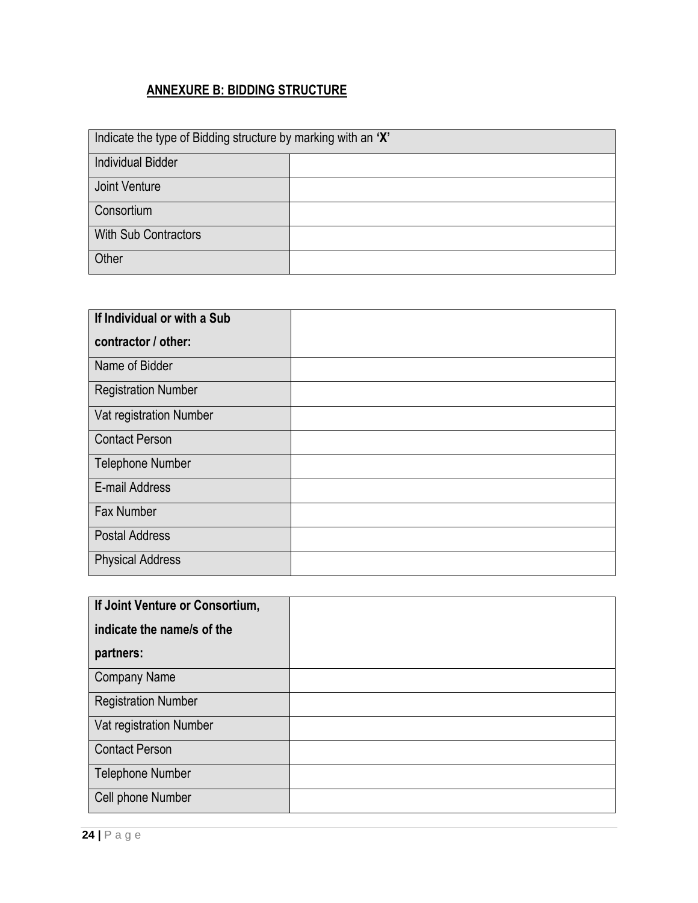# **ANNEXURE B: BIDDING STRUCTURE**

| Indicate the type of Bidding structure by marking with an 'X' |  |
|---------------------------------------------------------------|--|
| <b>Individual Bidder</b>                                      |  |
| Joint Venture                                                 |  |
| Consortium                                                    |  |
| <b>With Sub Contractors</b>                                   |  |
| Other                                                         |  |

| If Individual or with a Sub |  |
|-----------------------------|--|
| contractor / other:         |  |
| Name of Bidder              |  |
| <b>Registration Number</b>  |  |
| Vat registration Number     |  |
| <b>Contact Person</b>       |  |
| <b>Telephone Number</b>     |  |
| E-mail Address              |  |
| <b>Fax Number</b>           |  |
| <b>Postal Address</b>       |  |
| <b>Physical Address</b>     |  |

| If Joint Venture or Consortium, |  |
|---------------------------------|--|
| indicate the name/s of the      |  |
| partners:                       |  |
| <b>Company Name</b>             |  |
| <b>Registration Number</b>      |  |
| Vat registration Number         |  |
| <b>Contact Person</b>           |  |
| <b>Telephone Number</b>         |  |
| Cell phone Number               |  |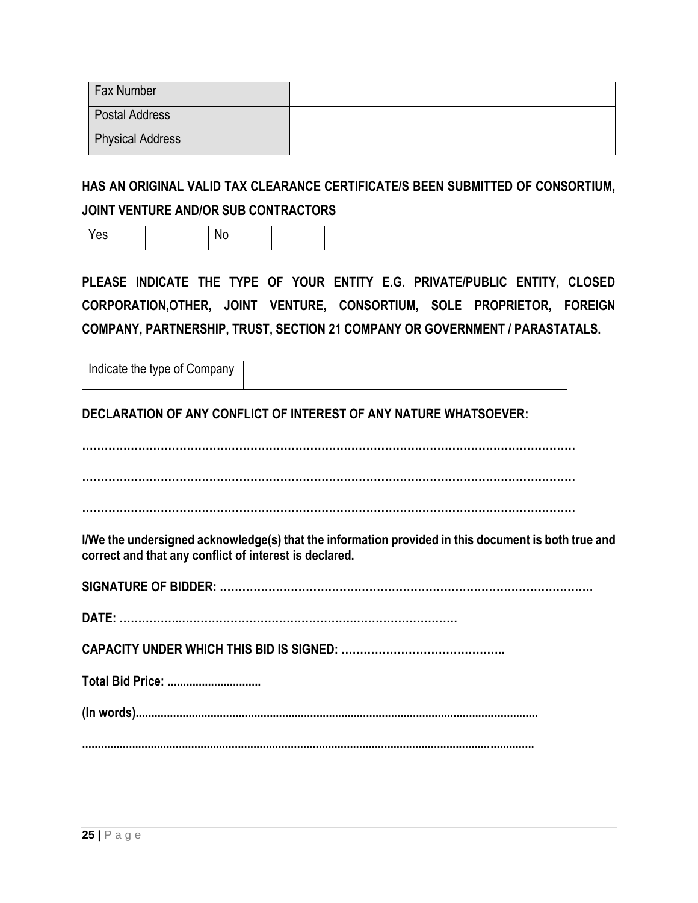| Fax Number              |  |
|-------------------------|--|
| <b>Postal Address</b>   |  |
| <b>Physical Address</b> |  |

**HAS AN ORIGINAL VALID TAX CLEARANCE CERTIFICATE/S BEEN SUBMITTED OF CONSORTIUM, JOINT VENTURE AND/OR SUB CONTRACTORS**

Yes I No

**PLEASE INDICATE THE TYPE OF YOUR ENTITY E.G. PRIVATE/PUBLIC ENTITY, CLOSED CORPORATION,OTHER, JOINT VENTURE, CONSORTIUM, SOLE PROPRIETOR, FOREIGN COMPANY, PARTNERSHIP, TRUST, SECTION 21 COMPANY OR GOVERNMENT / PARASTATALS.**

| Indicate the type of Company |  |
|------------------------------|--|
|                              |  |

**DECLARATION OF ANY CONFLICT OF INTEREST OF ANY NATURE WHATSOEVER:**

**……………………………………………………………………………………………………………………**

**……………………………………………………………………………………………………………………**

**……………………………………………………………………………………………………………………**

**I/We the undersigned acknowledge(s) that the information provided in this document is both true and correct and that any conflict of interest is declared.**

**SIGNATURE OF BIDDER: ……………………………………………………………………………………….**

**DATE: ……………..……………………………………….……………………….**

**CAPACITY UNDER WHICH THIS BID IS SIGNED: ……………………………………..** 

**Total Bid Price: ..............................** 

**(In words).................................................................................................................................**

**.................................................................................................................................................**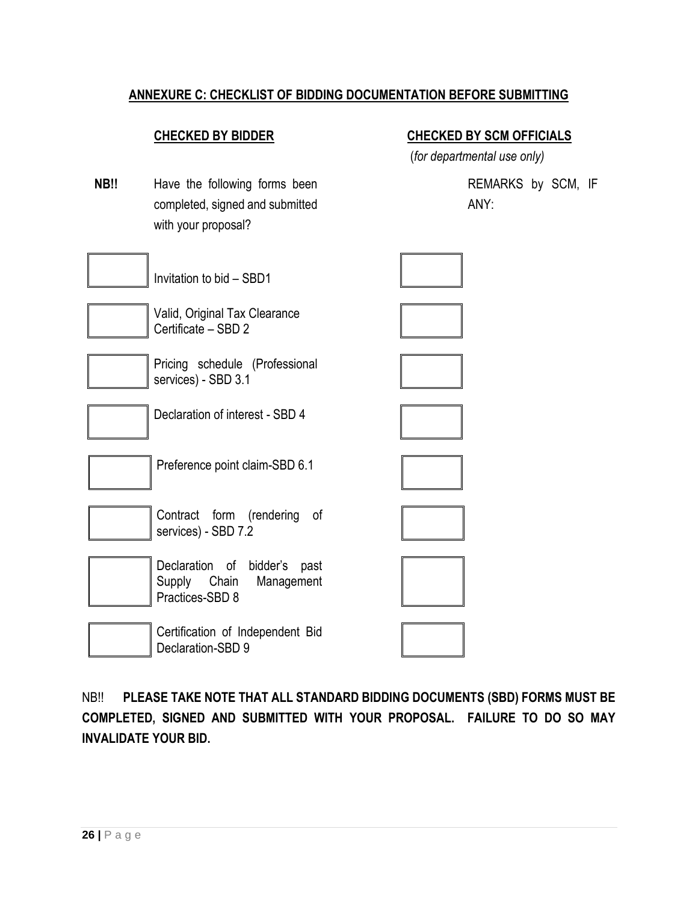## **ANNEXURE C: CHECKLIST OF BIDDING DOCUMENTATION BEFORE SUBMITTING**

#### **CHECKED BY BIDDER CHECKED BY SCM OFFICIALS**

(*for departmental use only)*

**NB!!** Have the following forms been completed, signed and submitted with your proposal?

REMARKS by SCM, IF ANY:



NB!! **PLEASE TAKE NOTE THAT ALL STANDARD BIDDING DOCUMENTS (SBD) FORMS MUST BE COMPLETED, SIGNED AND SUBMITTED WITH YOUR PROPOSAL. FAILURE TO DO SO MAY INVALIDATE YOUR BID.**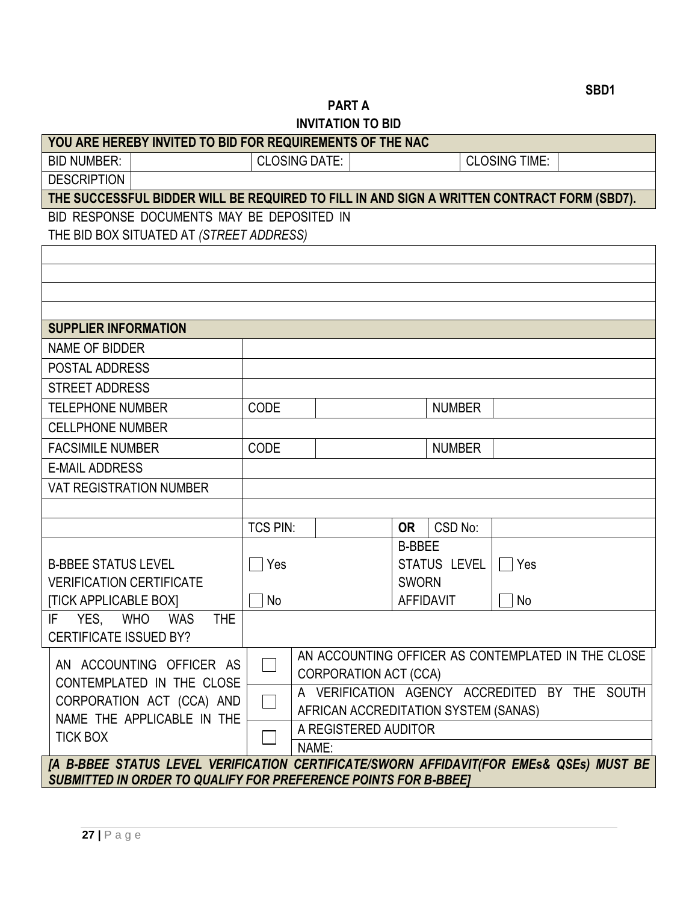# **PART A INVITATION TO BID**

| YOU ARE HEREBY INVITED TO BID FOR REQUIREMENTS OF THE NAC                                  |                 |                      |                              |               |                                      |                      |                                                    |
|--------------------------------------------------------------------------------------------|-----------------|----------------------|------------------------------|---------------|--------------------------------------|----------------------|----------------------------------------------------|
| <b>BID NUMBER:</b>                                                                         |                 | <b>CLOSING DATE:</b> |                              |               |                                      | <b>CLOSING TIME:</b> |                                                    |
| <b>DESCRIPTION</b>                                                                         |                 |                      |                              |               |                                      |                      |                                                    |
| THE SUCCESSFUL BIDDER WILL BE REQUIRED TO FILL IN AND SIGN A WRITTEN CONTRACT FORM (SBD7). |                 |                      |                              |               |                                      |                      |                                                    |
| BID RESPONSE DOCUMENTS MAY BE DEPOSITED IN                                                 |                 |                      |                              |               |                                      |                      |                                                    |
| THE BID BOX SITUATED AT (STREET ADDRESS)                                                   |                 |                      |                              |               |                                      |                      |                                                    |
|                                                                                            |                 |                      |                              |               |                                      |                      |                                                    |
|                                                                                            |                 |                      |                              |               |                                      |                      |                                                    |
|                                                                                            |                 |                      |                              |               |                                      |                      |                                                    |
|                                                                                            |                 |                      |                              |               |                                      |                      |                                                    |
| <b>SUPPLIER INFORMATION</b>                                                                |                 |                      |                              |               |                                      |                      |                                                    |
| <b>NAME OF BIDDER</b>                                                                      |                 |                      |                              |               |                                      |                      |                                                    |
| <b>POSTAL ADDRESS</b>                                                                      |                 |                      |                              |               |                                      |                      |                                                    |
| <b>STREET ADDRESS</b>                                                                      |                 |                      |                              |               |                                      |                      |                                                    |
| <b>TELEPHONE NUMBER</b>                                                                    | <b>CODE</b>     |                      |                              |               | <b>NUMBER</b>                        |                      |                                                    |
| <b>CELLPHONE NUMBER</b>                                                                    |                 |                      |                              |               |                                      |                      |                                                    |
| <b>FACSIMILE NUMBER</b>                                                                    | <b>CODE</b>     |                      |                              |               | <b>NUMBER</b>                        |                      |                                                    |
| <b>E-MAIL ADDRESS</b>                                                                      |                 |                      |                              |               |                                      |                      |                                                    |
| <b>VAT REGISTRATION NUMBER</b>                                                             |                 |                      |                              |               |                                      |                      |                                                    |
|                                                                                            |                 |                      |                              |               |                                      |                      |                                                    |
|                                                                                            | <b>TCS PIN:</b> |                      |                              | <b>OR</b>     | CSD No:                              |                      |                                                    |
|                                                                                            |                 |                      |                              | <b>B-BBEE</b> |                                      |                      |                                                    |
| <b>B-BBEE STATUS LEVEL</b>                                                                 | Yes             |                      |                              |               | STATUS LEVEL                         | $\Box$ Yes           |                                                    |
| <b>VERIFICATION CERTIFICATE</b>                                                            |                 |                      |                              | <b>SWORN</b>  |                                      |                      |                                                    |
| <b>[TICK APPLICABLE BOX]</b>                                                               | No              |                      |                              |               | <b>AFFIDAVIT</b>                     | No                   |                                                    |
| IF<br>YES, WHO WAS<br><b>THE</b>                                                           |                 |                      |                              |               |                                      |                      |                                                    |
| CERTIFICATE ISSUED BY?                                                                     |                 |                      |                              |               |                                      |                      |                                                    |
| AN ACCOUNTING OFFICER AS                                                                   |                 |                      |                              |               |                                      |                      | AN ACCOUNTING OFFICER AS CONTEMPLATED IN THE CLOSE |
| CONTEMPLATED IN THE CLOSE                                                                  |                 |                      | <b>CORPORATION ACT (CCA)</b> |               |                                      |                      | A VERIFICATION AGENCY ACCREDITED BY THE SOUTH      |
| CORPORATION ACT (CCA) AND                                                                  |                 |                      |                              |               | AFRICAN ACCREDITATION SYSTEM (SANAS) |                      |                                                    |
| NAME THE APPLICABLE IN THE                                                                 |                 |                      | A REGISTERED AUDITOR         |               |                                      |                      |                                                    |
| <b>TICK BOX</b>                                                                            |                 | NAME:                |                              |               |                                      |                      |                                                    |
| [A B-BBEE STATUS LEVEL VERIFICATION CERTIFICATE/SWORN AFFIDAVIT(FOR EMES& QSEs) MUST BE    |                 |                      |                              |               |                                      |                      |                                                    |

**27 |** P a g e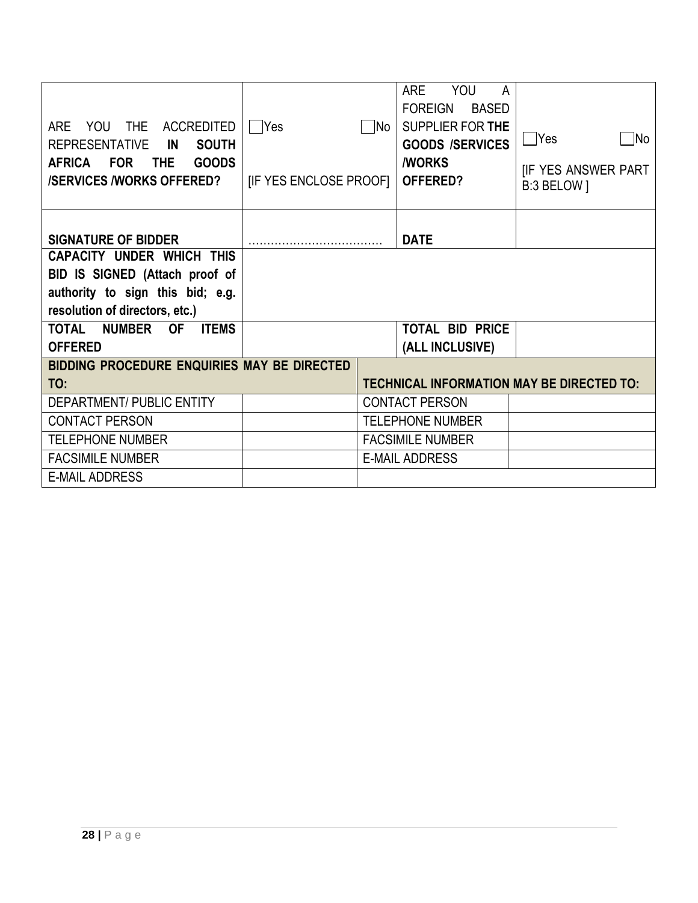| <b>YOU</b><br><b>THE</b><br><b>ACCREDITED</b><br><b>ARE</b><br><b>SOUTH</b><br><b>REPRESENTATIVE</b><br>IN<br><b>GOODS</b><br><b>AFRICA</b><br><b>FOR</b><br><b>THE</b><br><b>/SERVICES /WORKS OFFERED?</b> | Yes<br><b>IF YES ENCLOSE PROOFI</b> | - INo | YOU<br><b>ARE</b><br>A<br><b>BASED</b><br><b>FOREIGN</b><br><b>SUPPLIER FOR THE</b><br><b>GOODS /SERVICES</b><br><b><i>I</i>WORKS</b><br>OFFERED? | <b>TYes</b><br>INo<br><b>IF YES ANSWER PART</b><br>B:3 BELOW ] |
|-------------------------------------------------------------------------------------------------------------------------------------------------------------------------------------------------------------|-------------------------------------|-------|---------------------------------------------------------------------------------------------------------------------------------------------------|----------------------------------------------------------------|
| <b>SIGNATURE OF BIDDER</b>                                                                                                                                                                                  |                                     |       | <b>DATE</b>                                                                                                                                       |                                                                |
| <b>CAPACITY UNDER WHICH THIS</b>                                                                                                                                                                            |                                     |       |                                                                                                                                                   |                                                                |
| BID IS SIGNED (Attach proof of                                                                                                                                                                              |                                     |       |                                                                                                                                                   |                                                                |
| authority to sign this bid; e.g.                                                                                                                                                                            |                                     |       |                                                                                                                                                   |                                                                |
| resolution of directors, etc.)                                                                                                                                                                              |                                     |       |                                                                                                                                                   |                                                                |
| TOTAL<br><b>NUMBER</b><br><b>OF</b><br><b>ITEMS</b><br><b>OFFERED</b>                                                                                                                                       |                                     |       | <b>TOTAL BID PRICE</b>                                                                                                                            |                                                                |
|                                                                                                                                                                                                             |                                     |       | (ALL INCLUSIVE)                                                                                                                                   |                                                                |
| BIDDING PROCEDURE ENQUIRIES MAY BE DIRECTED<br>TO:                                                                                                                                                          |                                     |       |                                                                                                                                                   | <b>TECHNICAL INFORMATION MAY BE DIRECTED TO:</b>               |
| <b>DEPARTMENT/ PUBLIC ENTITY</b>                                                                                                                                                                            |                                     |       | <b>CONTACT PERSON</b>                                                                                                                             |                                                                |
| <b>CONTACT PERSON</b>                                                                                                                                                                                       |                                     |       | <b>TELEPHONE NUMBER</b>                                                                                                                           |                                                                |
| <b>TELEPHONE NUMBER</b>                                                                                                                                                                                     |                                     |       | <b>FACSIMILE NUMBER</b>                                                                                                                           |                                                                |
| <b>FACSIMILE NUMBER</b>                                                                                                                                                                                     |                                     |       | <b>E-MAIL ADDRESS</b>                                                                                                                             |                                                                |
| <b>E-MAIL ADDRESS</b>                                                                                                                                                                                       |                                     |       |                                                                                                                                                   |                                                                |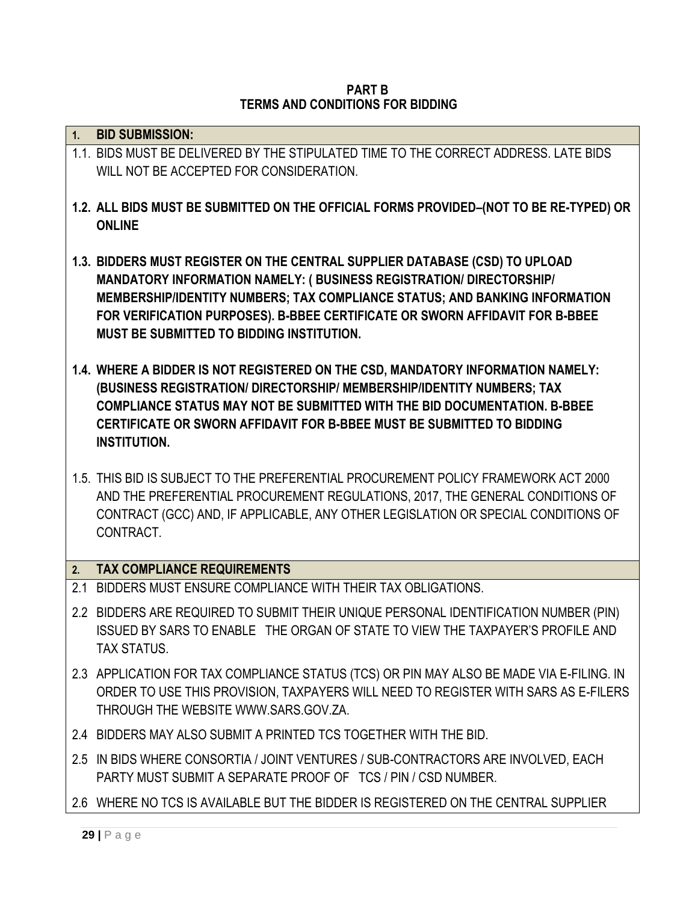#### **PART B TERMS AND CONDITIONS FOR BIDDING**

| 1.  | <b>BID SUBMISSION:</b>                                                                                                                                                                                                                                                                                                                                         |
|-----|----------------------------------------------------------------------------------------------------------------------------------------------------------------------------------------------------------------------------------------------------------------------------------------------------------------------------------------------------------------|
|     | 1.1. BIDS MUST BE DELIVERED BY THE STIPULATED TIME TO THE CORRECT ADDRESS. LATE BIDS<br>WILL NOT BE ACCEPTED FOR CONSIDERATION.                                                                                                                                                                                                                                |
|     | 1.2. ALL BIDS MUST BE SUBMITTED ON THE OFFICIAL FORMS PROVIDED-(NOT TO BE RE-TYPED) OR<br><b>ONLINE</b>                                                                                                                                                                                                                                                        |
|     | 1.3. BIDDERS MUST REGISTER ON THE CENTRAL SUPPLIER DATABASE (CSD) TO UPLOAD<br>MANDATORY INFORMATION NAMELY: (BUSINESS REGISTRATION/ DIRECTORSHIP/<br>MEMBERSHIP/IDENTITY NUMBERS; TAX COMPLIANCE STATUS; AND BANKING INFORMATION<br>FOR VERIFICATION PURPOSES). B-BBEE CERTIFICATE OR SWORN AFFIDAVIT FOR B-BBEE<br>MUST BE SUBMITTED TO BIDDING INSTITUTION. |
|     | 1.4. WHERE A BIDDER IS NOT REGISTERED ON THE CSD, MANDATORY INFORMATION NAMELY:<br>(BUSINESS REGISTRATION/ DIRECTORSHIP/ MEMBERSHIP/IDENTITY NUMBERS; TAX<br>COMPLIANCE STATUS MAY NOT BE SUBMITTED WITH THE BID DOCUMENTATION, B-BBEE<br>CERTIFICATE OR SWORN AFFIDAVIT FOR B-BBEE MUST BE SUBMITTED TO BIDDING<br><b>INSTITUTION.</b>                        |
|     | 1.5. THIS BID IS SUBJECT TO THE PREFERENTIAL PROCUREMENT POLICY FRAMEWORK ACT 2000<br>AND THE PREFERENTIAL PROCUREMENT REGULATIONS, 2017, THE GENERAL CONDITIONS OF<br>CONTRACT (GCC) AND, IF APPLICABLE, ANY OTHER LEGISLATION OR SPECIAL CONDITIONS OF<br>CONTRACT.                                                                                          |
| 2.  | <b>TAX COMPLIANCE REQUIREMENTS</b>                                                                                                                                                                                                                                                                                                                             |
| 2.1 | BIDDERS MUST ENSURE COMPLIANCE WITH THEIR TAX OBLIGATIONS.                                                                                                                                                                                                                                                                                                     |
|     | 2.2 BIDDERS ARE REQUIRED TO SUBMIT THEIR UNIQUE PERSONAL IDENTIFICATION NUMBER (PIN)<br>ISSUED BY SARS TO ENABLE THE ORGAN OF STATE TO VIEW THE TAXPAYER'S PROFILE AND<br><b>TAX STATUS.</b>                                                                                                                                                                   |
|     | 2.3 APPLICATION FOR TAX COMPLIANCE STATUS (TCS) OR PIN MAY ALSO BE MADE VIA E-FILING. IN<br>ORDER TO USE THIS PROVISION, TAXPAYERS WILL NEED TO REGISTER WITH SARS AS E-FILERS<br>THROUGH THE WEBSITE WWW.SARS.GOV.ZA.                                                                                                                                         |
|     | 2.4 BIDDERS MAY ALSO SUBMIT A PRINTED TCS TOGETHER WITH THE BID.                                                                                                                                                                                                                                                                                               |
|     | 2.5 IN BIDS WHERE CONSORTIA / JOINT VENTURES / SUB-CONTRACTORS ARE INVOLVED, EACH<br>PARTY MUST SUBMIT A SEPARATE PROOF OF TCS / PIN / CSD NUMBER.                                                                                                                                                                                                             |
|     | 2.6 WHERE NO TCS IS AVAILABLE BUT THE BIDDER IS REGISTERED ON THE CENTRAL SUPPLIER                                                                                                                                                                                                                                                                             |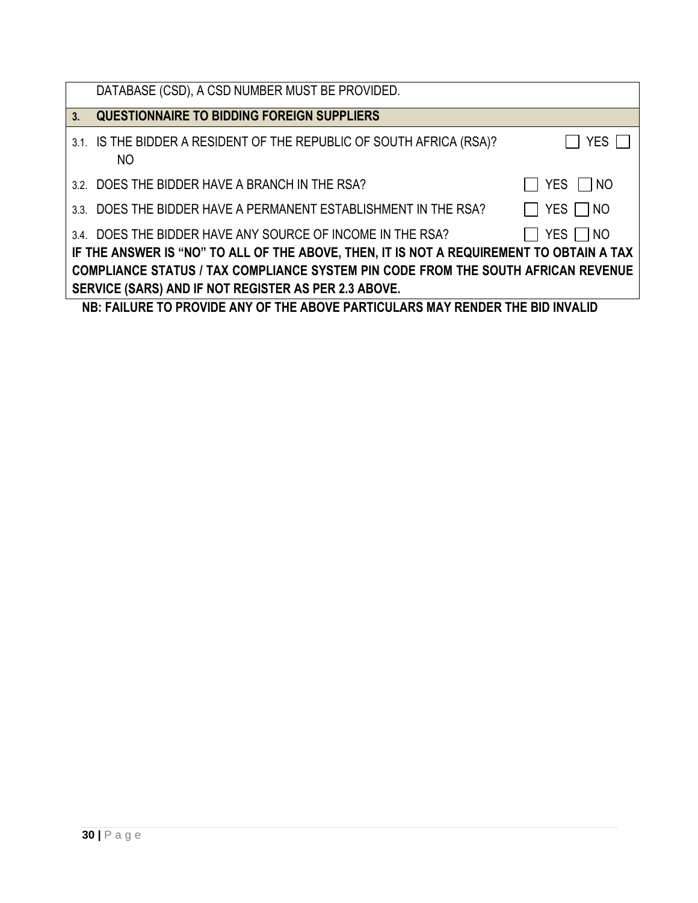|    | DATABASE (CSD), A CSD NUMBER MUST BE PROVIDED.                                           |               |  |
|----|------------------------------------------------------------------------------------------|---------------|--|
| 3. | <b>QUESTIONNAIRE TO BIDDING FOREIGN SUPPLIERS</b>                                        |               |  |
|    | 3.1. IS THE BIDDER A RESIDENT OF THE REPUBLIC OF SOUTH AFRICA (RSA)?<br>NO               | <b>YES</b>    |  |
|    | 3.2. DOES THE BIDDER HAVE A BRANCH IN THE RSA?                                           | YES NO        |  |
|    | 3.3. DOES THE BIDDER HAVE A PERMANENT ESTABLISHMENT IN THE RSA?                          | YES $\Box$ NO |  |
|    | 3.4. DOES THE BIDDER HAVE ANY SOURCE OF INCOME IN THE RSA?                               | YES $\Box$ NO |  |
|    | IF THE ANSWER IS "NO" TO ALL OF THE ABOVE, THEN, IT IS NOT A REQUIREMENT TO OBTAIN A TAX |               |  |
|    | <b>COMPLIANCE STATUS / TAX COMPLIANCE SYSTEM PIN CODE FROM THE SOUTH AFRICAN REVENUE</b> |               |  |
|    | SERVICE (SARS) AND IF NOT REGISTER AS PER 2.3 ABOVE.                                     |               |  |
|    | NB: FAILURE TO PROVIDE ANY OF THE ABOVE PARTICULARS MAY RENDER THE BID INVALID           |               |  |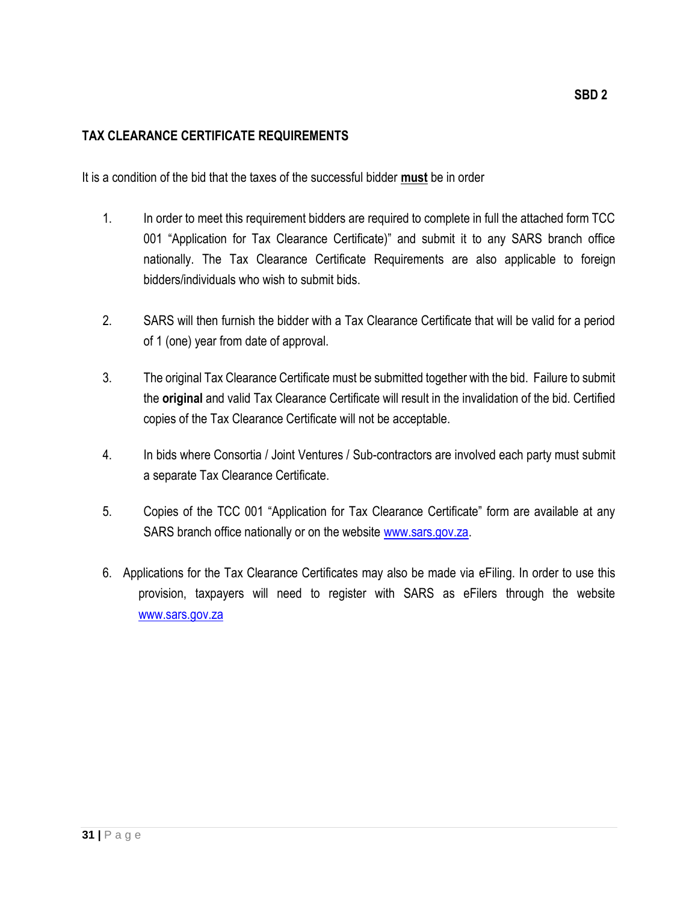# **TAX CLEARANCE CERTIFICATE REQUIREMENTS**

It is a condition of the bid that the taxes of the successful bidder **must** be in order

- 1. In order to meet this requirement bidders are required to complete in full the attached form TCC 001 "Application for Tax Clearance Certificate)" and submit it to any SARS branch office nationally. The Tax Clearance Certificate Requirements are also applicable to foreign bidders/individuals who wish to submit bids.
- 2. SARS will then furnish the bidder with a Tax Clearance Certificate that will be valid for a period of 1 (one) year from date of approval.
- 3. The original Tax Clearance Certificate must be submitted together with the bid. Failure to submit the **original** and valid Tax Clearance Certificate will result in the invalidation of the bid. Certified copies of the Tax Clearance Certificate will not be acceptable.
- 4. In bids where Consortia / Joint Ventures / Sub-contractors are involved each party must submit a separate Tax Clearance Certificate.
- 5. Copies of the TCC 001 "Application for Tax Clearance Certificate" form are available at any SARS branch office nationally or on the website [www.sars.gov.za.](http://www.sars.gov.za/)
- 6. Applications for the Tax Clearance Certificates may also be made via eFiling. In order to use this provision, taxpayers will need to register with SARS as eFilers through the website [www.sars.gov.za](http://www.sars.gov.z/)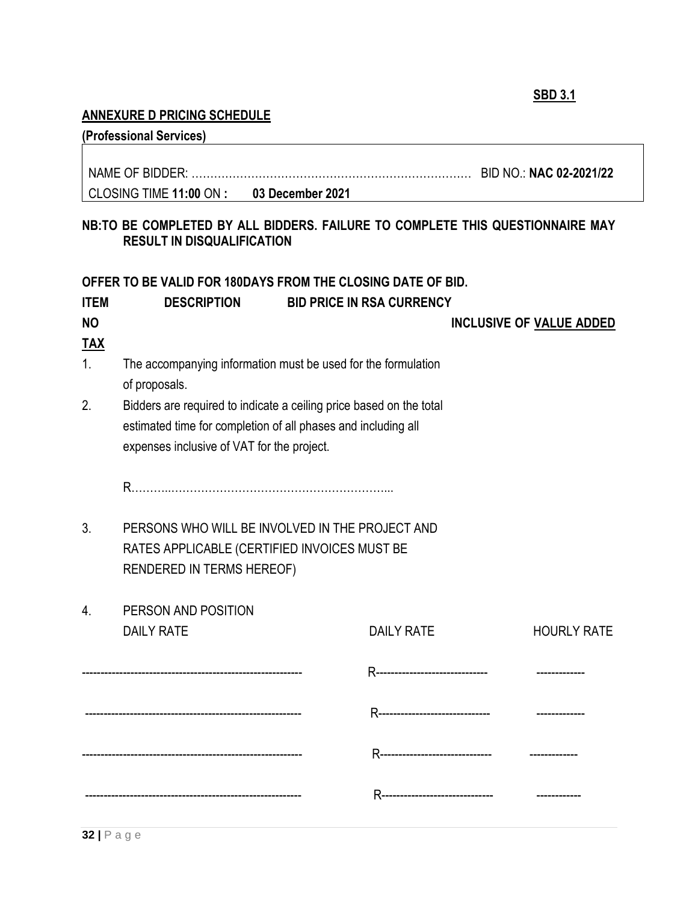**SBD 3.1**

# **ANNEXURE D PRICING SCHEDULE**

|             | (Professional Services)                                                                                                                                                            |                                  |                                                                               |
|-------------|------------------------------------------------------------------------------------------------------------------------------------------------------------------------------------|----------------------------------|-------------------------------------------------------------------------------|
|             |                                                                                                                                                                                    |                                  |                                                                               |
|             | CLOSING TIME 11:00 ON : 03 December 2021                                                                                                                                           |                                  |                                                                               |
|             | <b>RESULT IN DISQUALIFICATION</b>                                                                                                                                                  |                                  | NB:TO BE COMPLETED BY ALL BIDDERS. FAILURE TO COMPLETE THIS QUESTIONNAIRE MAY |
|             | OFFER TO BE VALID FOR 180DAYS FROM THE CLOSING DATE OF BID.                                                                                                                        |                                  |                                                                               |
| <b>ITEM</b> | <b>DESCRIPTION</b>                                                                                                                                                                 | <b>BID PRICE IN RSA CURRENCY</b> |                                                                               |
| <b>NO</b>   |                                                                                                                                                                                    |                                  | <b>INCLUSIVE OF VALUE ADDED</b>                                               |
| <u>TAX</u>  |                                                                                                                                                                                    |                                  |                                                                               |
| 1.          | The accompanying information must be used for the formulation<br>of proposals.                                                                                                     |                                  |                                                                               |
| 2.          | Bidders are required to indicate a ceiling price based on the total<br>estimated time for completion of all phases and including all<br>expenses inclusive of VAT for the project. |                                  |                                                                               |
|             |                                                                                                                                                                                    |                                  |                                                                               |
| $3_{\cdot}$ | PERSONS WHO WILL BE INVOLVED IN THE PROJECT AND<br>RATES APPLICABLE (CERTIFIED INVOICES MUST BE<br>RENDERED IN TERMS HEREOF)                                                       |                                  |                                                                               |
| 4.          | PERSON AND POSITION                                                                                                                                                                |                                  |                                                                               |
|             | <b>DAILY RATE</b>                                                                                                                                                                  | <b>DAILY RATE</b>                | <b>HOURLY RATE</b>                                                            |
|             |                                                                                                                                                                                    |                                  |                                                                               |
|             |                                                                                                                                                                                    |                                  |                                                                               |
|             |                                                                                                                                                                                    |                                  |                                                                               |
|             |                                                                                                                                                                                    |                                  |                                                                               |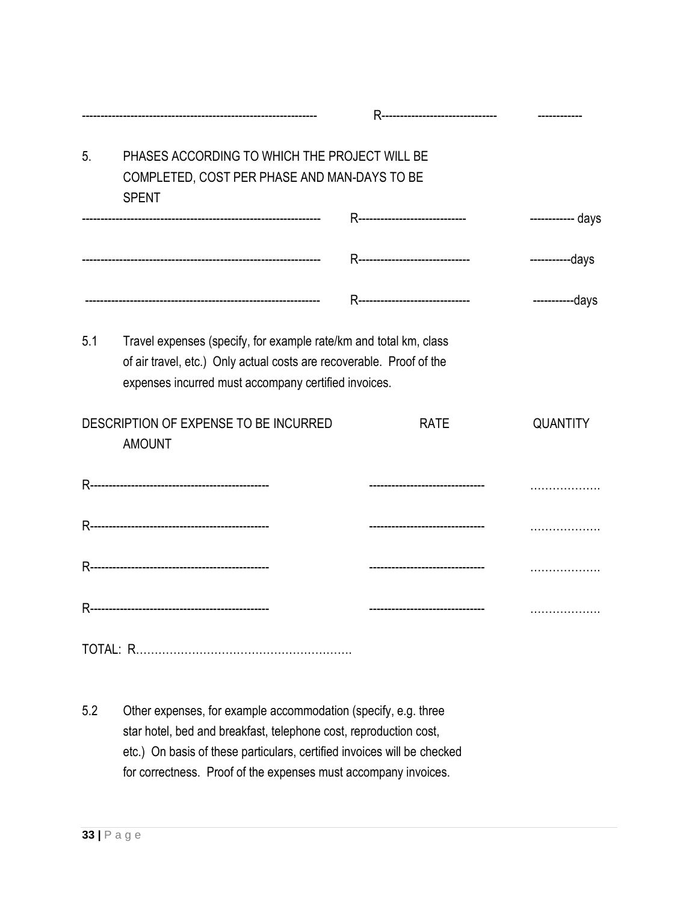|                |                                                                                                                                                                                                   | R-------------------------------- |                   |
|----------------|---------------------------------------------------------------------------------------------------------------------------------------------------------------------------------------------------|-----------------------------------|-------------------|
| 5 <sub>1</sub> | PHASES ACCORDING TO WHICH THE PROJECT WILL BE<br>COMPLETED, COST PER PHASE AND MAN-DAYS TO BE                                                                                                     |                                   |                   |
|                | <b>SPENT</b>                                                                                                                                                                                      | R------------------------------   | ------------ days |
|                |                                                                                                                                                                                                   | R-------------------------------  | -----------days   |
|                |                                                                                                                                                                                                   | R-------------------------------- | -----------days   |
| 5.1            | Travel expenses (specify, for example rate/km and total km, class<br>of air travel, etc.) Only actual costs are recoverable. Proof of the<br>expenses incurred must accompany certified invoices. |                                   |                   |
|                | DESCRIPTION OF EXPENSE TO BE INCURRED<br><b>AMOUNT</b>                                                                                                                                            | <b>RATE</b>                       | <b>QUANTITY</b>   |
|                |                                                                                                                                                                                                   | --------------------------------  |                   |
|                |                                                                                                                                                                                                   |                                   | .                 |
|                |                                                                                                                                                                                                   | --------------------------------  | .                 |
|                |                                                                                                                                                                                                   | --------------------------------  | .                 |
|                |                                                                                                                                                                                                   |                                   |                   |

5.2 Other expenses, for example accommodation (specify, e.g. three star hotel, bed and breakfast, telephone cost, reproduction cost, etc.) On basis of these particulars, certified invoices will be checked for correctness. Proof of the expenses must accompany invoices.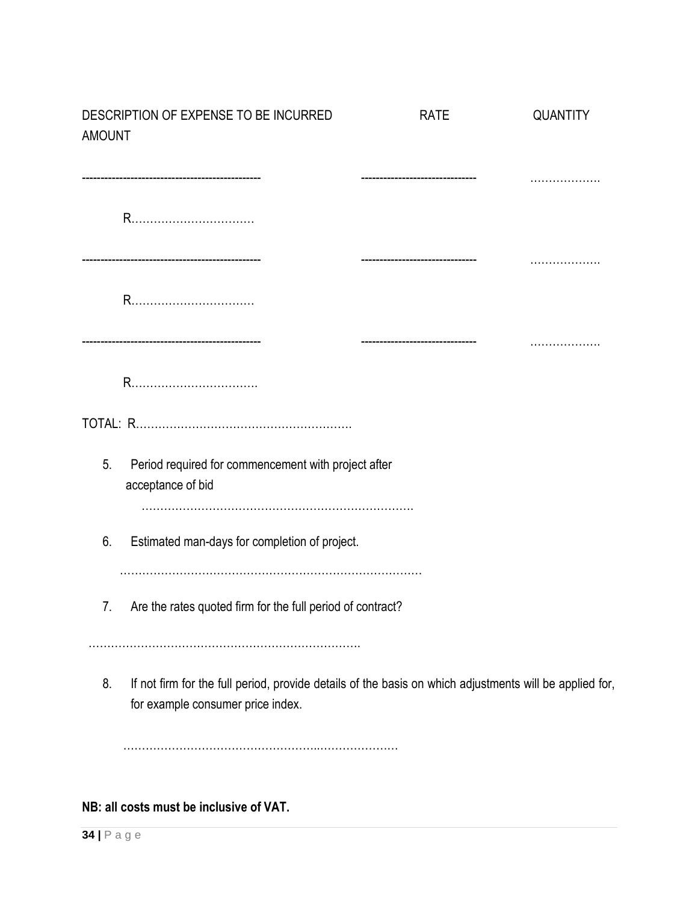| <b>AMOUNT</b> | DESCRIPTION OF EXPENSE TO BE INCURRED                                                                                                        | <b>RATE</b> | <b>QUANTITY</b> |
|---------------|----------------------------------------------------------------------------------------------------------------------------------------------|-------------|-----------------|
|               |                                                                                                                                              |             |                 |
|               |                                                                                                                                              |             |                 |
|               |                                                                                                                                              |             |                 |
|               | -----------------------------------                                                                                                          |             |                 |
|               | R                                                                                                                                            |             |                 |
|               |                                                                                                                                              |             |                 |
| 5.            | Period required for commencement with project after<br>acceptance of bid                                                                     |             |                 |
| 6.            | Estimated man-days for completion of project.                                                                                                |             |                 |
| 7.            | Are the rates quoted firm for the full period of contract?                                                                                   |             |                 |
| 8.            | If not firm for the full period, provide details of the basis on which adjustments will be applied for,<br>for example consumer price index. |             |                 |
|               |                                                                                                                                              |             |                 |

**NB: all costs must be inclusive of VAT.**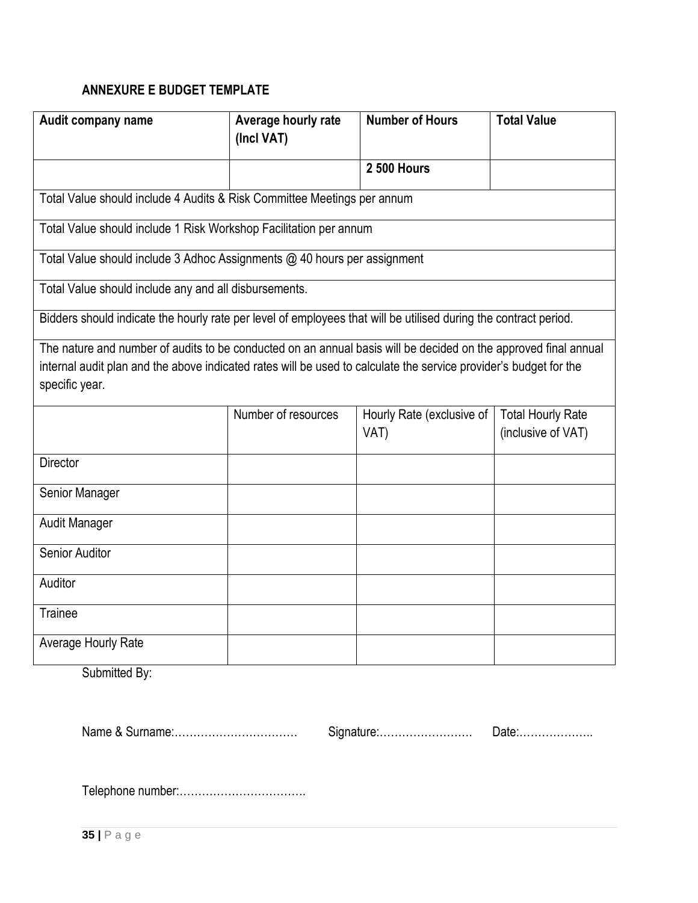# **ANNEXURE E BUDGET TEMPLATE**

| Audit company name                                                                                                                                                                                                                                     | Average hourly rate<br>(Incl VAT) | <b>Number of Hours</b>            | <b>Total Value</b>                             |
|--------------------------------------------------------------------------------------------------------------------------------------------------------------------------------------------------------------------------------------------------------|-----------------------------------|-----------------------------------|------------------------------------------------|
|                                                                                                                                                                                                                                                        |                                   | <b>2 500 Hours</b>                |                                                |
| Total Value should include 4 Audits & Risk Committee Meetings per annum                                                                                                                                                                                |                                   |                                   |                                                |
| Total Value should include 1 Risk Workshop Facilitation per annum                                                                                                                                                                                      |                                   |                                   |                                                |
| Total Value should include 3 Adhoc Assignments @ 40 hours per assignment                                                                                                                                                                               |                                   |                                   |                                                |
| Total Value should include any and all disbursements.                                                                                                                                                                                                  |                                   |                                   |                                                |
| Bidders should indicate the hourly rate per level of employees that will be utilised during the contract period.                                                                                                                                       |                                   |                                   |                                                |
| The nature and number of audits to be conducted on an annual basis will be decided on the approved final annual<br>internal audit plan and the above indicated rates will be used to calculate the service provider's budget for the<br>specific year. |                                   |                                   |                                                |
|                                                                                                                                                                                                                                                        | Number of resources               | Hourly Rate (exclusive of<br>VAT) | <b>Total Hourly Rate</b><br>(inclusive of VAT) |
| Director                                                                                                                                                                                                                                               |                                   |                                   |                                                |
| Senior Manager                                                                                                                                                                                                                                         |                                   |                                   |                                                |
| Audit Manager                                                                                                                                                                                                                                          |                                   |                                   |                                                |
| <b>Senior Auditor</b>                                                                                                                                                                                                                                  |                                   |                                   |                                                |
| Auditor                                                                                                                                                                                                                                                |                                   |                                   |                                                |
| Trainee                                                                                                                                                                                                                                                |                                   |                                   |                                                |
| Average Hourly Rate                                                                                                                                                                                                                                    |                                   |                                   |                                                |

Submitted By:

Name & Surname:…………………………… Signature:……………………. Date:………………..

Telephone number:…………………………….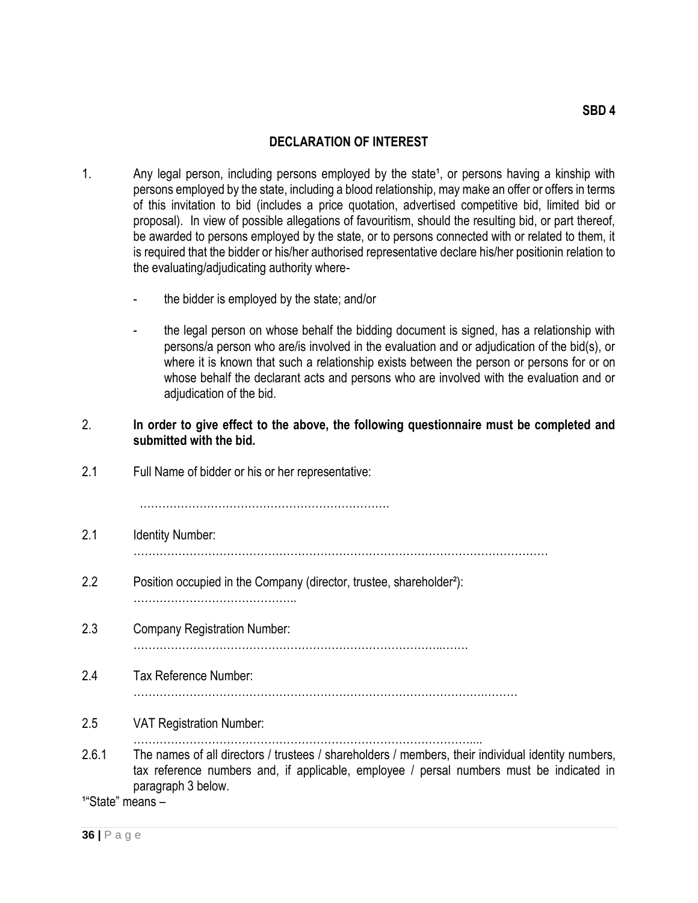#### **DECLARATION OF INTEREST**

- 1. Any legal person, including persons employed by the state<sup>1</sup>, or persons having a kinship with persons employed by the state, including a blood relationship, may make an offer or offers in terms of this invitation to bid (includes a price quotation, advertised competitive bid, limited bid or proposal). In view of possible allegations of favouritism, should the resulting bid, or part thereof, be awarded to persons employed by the state, or to persons connected with or related to them, it is required that the bidder or his/her authorised representative declare his/her positionin relation to the evaluating/adjudicating authority where
	- the bidder is employed by the state; and/or
	- the legal person on whose behalf the bidding document is signed, has a relationship with persons/a person who are/is involved in the evaluation and or adjudication of the bid(s), or where it is known that such a relationship exists between the person or persons for or on whose behalf the declarant acts and persons who are involved with the evaluation and or adjudication of the bid.

#### 2. **In order to give effect to the above, the following questionnaire must be completed and submitted with the bid.**

| 2.1                  | Full Name of bidder or his or her representative:                                                                                                                                                                    |
|----------------------|----------------------------------------------------------------------------------------------------------------------------------------------------------------------------------------------------------------------|
| 2.1                  | <b>Identity Number:</b>                                                                                                                                                                                              |
| 2.2                  | Position occupied in the Company (director, trustee, shareholder <sup>2</sup> ):                                                                                                                                     |
| 2.3                  | <b>Company Registration Number:</b>                                                                                                                                                                                  |
| 2.4                  | Tax Reference Number:                                                                                                                                                                                                |
| 2.5                  | <b>VAT Registration Number:</b>                                                                                                                                                                                      |
| 2.6.1                | The names of all directors / trustees / shareholders / members, their individual identity numbers,<br>tax reference numbers and, if applicable, employee / persal numbers must be indicated in<br>paragraph 3 below. |
| $1"$ Ctoto $"$ moone |                                                                                                                                                                                                                      |

'State" means –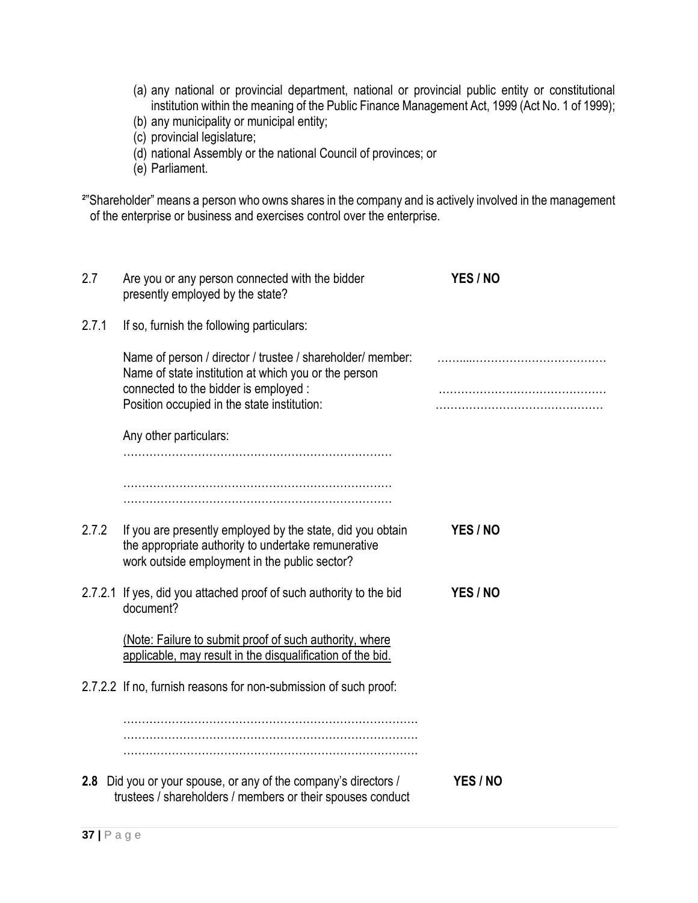- (a) any national or provincial department, national or provincial public entity or constitutional institution within the meaning of the Public Finance Management Act, 1999 (Act No. 1 of 1999);
- (b) any municipality or municipal entity;
- (c) provincial legislature;
- (d) national Assembly or the national Council of provinces; or
- (e) Parliament.

<sup>2"</sup>Shareholder" means a person who owns shares in the company and is actively involved in the management of the enterprise or business and exercises control over the enterprise.

| 2.7   | Are you or any person connected with the bidder<br>presently employed by the state?                                                                                                                        | YES / NO |
|-------|------------------------------------------------------------------------------------------------------------------------------------------------------------------------------------------------------------|----------|
| 2.7.1 | If so, furnish the following particulars:                                                                                                                                                                  |          |
|       | Name of person / director / trustee / shareholder/ member:<br>Name of state institution at which you or the person<br>connected to the bidder is employed :<br>Position occupied in the state institution: |          |
|       | Any other particulars:                                                                                                                                                                                     |          |
|       |                                                                                                                                                                                                            |          |
| 2.7.2 | If you are presently employed by the state, did you obtain<br>the appropriate authority to undertake remunerative<br>work outside employment in the public sector?                                         | YES / NO |
|       | 2.7.2.1 If yes, did you attached proof of such authority to the bid<br>document?                                                                                                                           | YES / NO |
|       | (Note: Failure to submit proof of such authority, where<br>applicable, may result in the disqualification of the bid.                                                                                      |          |
|       | 2.7.2.2 If no, furnish reasons for non-submission of such proof:                                                                                                                                           |          |
|       |                                                                                                                                                                                                            |          |
|       | 2.8 Did you or your spouse, or any of the company's directors /<br>trustees / shareholders / members or their spouses conduct                                                                              | YES / NO |
|       |                                                                                                                                                                                                            |          |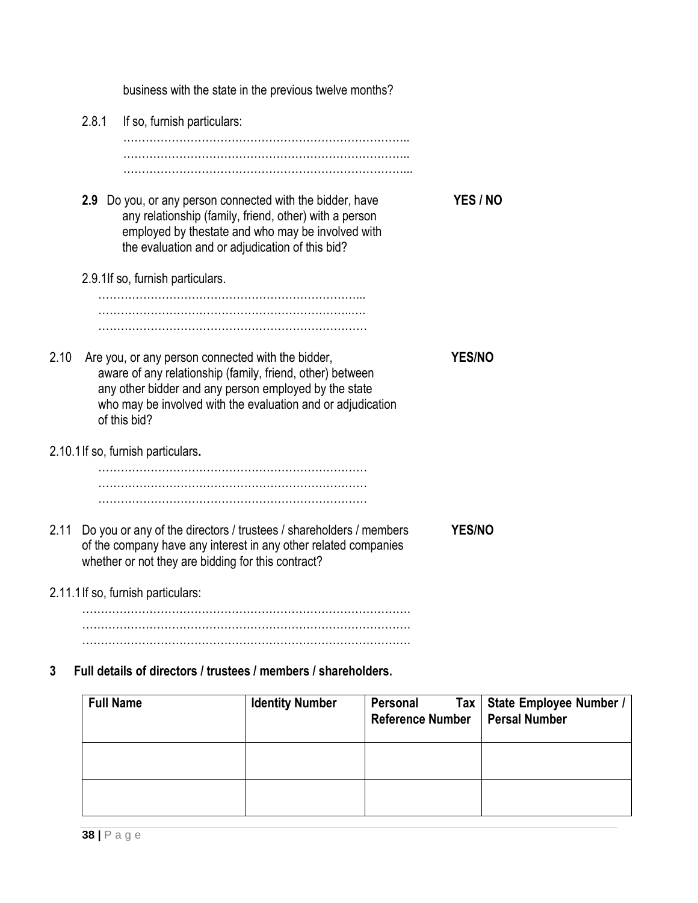business with the state in the previous twelve months? 2.8.1 If so, furnish particulars: ………………………………………………………………….. ………………………………………………………………….. …………………………………………………………………... **2.9** Do you, or any person connected with the bidder, have **YES / NO** any relationship (family, friend, other) with a person employed by thestate and who may be involved with the evaluation and or adjudication of this bid? 2.9.1If so, furnish particulars. ……………………………………………………………... …………………………………………………………..…. ……………………………………………………………… 2.10 Are you, or any person connected with the bidder, **YES/NO** aware of any relationship (family, friend, other) between any other bidder and any person employed by the state who may be involved with the evaluation and or adjudication of this bid? 2.10.1If so, furnish particulars**.** ……………………………………………………………… ……………………………………………………………… ……………………………………………………………… 2.11 Do you or any of the directors / trustees / shareholders / members **YES/NO** of the company have any interest in any other related companies whether or not they are bidding for this contract? 2.11.1If so, furnish particulars: ……………………………………………………………………………. ……………………………………………………………………………. ……………………………………………………………………………. **3 Full details of directors / trustees / members / shareholders. Full Name Identity Number Personal Tax Reference Number State Employee Number / Persal Number**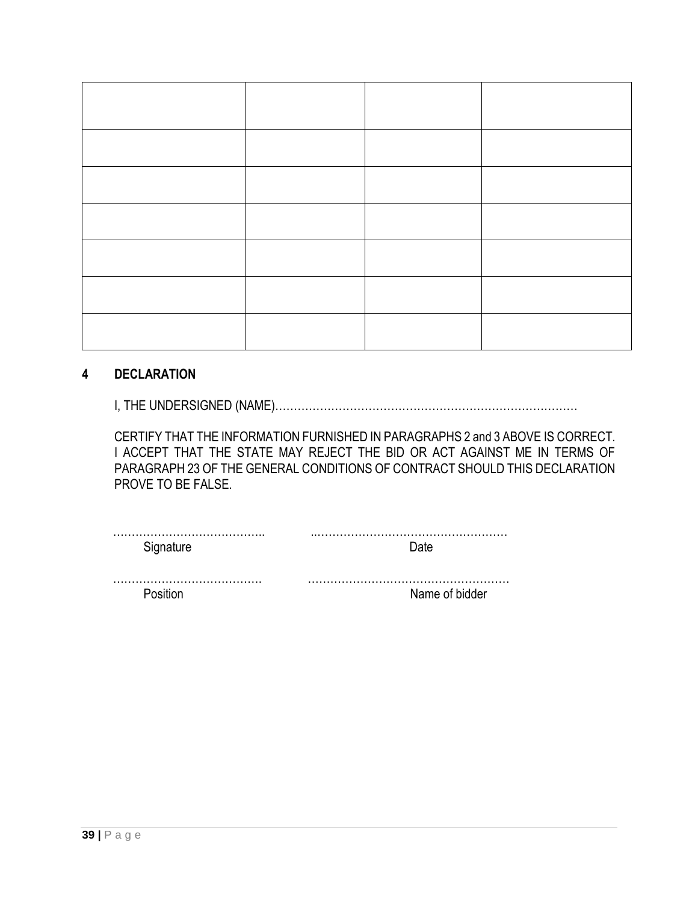#### **4 DECLARATION**

I, THE UNDERSIGNED (NAME)………………………………………………………………………

CERTIFY THAT THE INFORMATION FURNISHED IN PARAGRAPHS 2 and 3 ABOVE IS CORRECT. I ACCEPT THAT THE STATE MAY REJECT THE BID OR ACT AGAINST ME IN TERMS OF PARAGRAPH 23 OF THE GENERAL CONDITIONS OF CONTRACT SHOULD THIS DECLARATION PROVE TO BE FALSE.

…………………………………. ………………………………………………

Position Name of bidder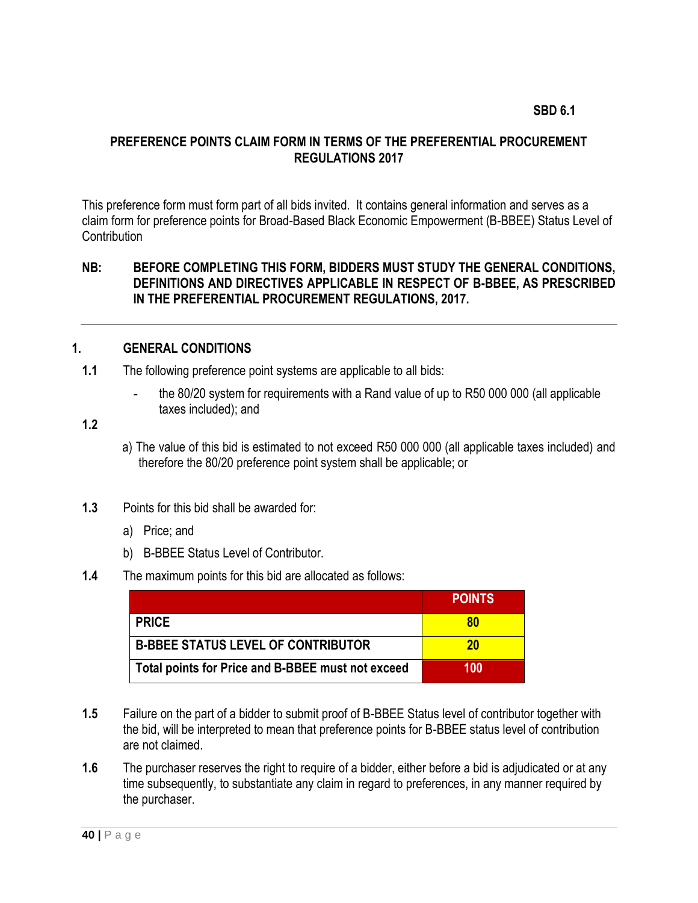#### <span id="page-39-0"></span>**SBD 6.1**

#### **PREFERENCE POINTS CLAIM FORM IN TERMS OF THE PREFERENTIAL PROCUREMENT REGULATIONS 2017**

This preference form must form part of all bids invited. It contains general information and serves as a claim form for preference points for Broad-Based Black Economic Empowerment (B-BBEE) Status Level of **Contribution** 

#### **NB: BEFORE COMPLETING THIS FORM, BIDDERS MUST STUDY THE GENERAL CONDITIONS, DEFINITIONS AND DIRECTIVES APPLICABLE IN RESPECT OF B-BBEE, AS PRESCRIBED IN THE PREFERENTIAL PROCUREMENT REGULATIONS, 2017.**

#### **1. GENERAL CONDITIONS**

- **1.1** The following preference point systems are applicable to all bids:
	- the 80/20 system for requirements with a Rand value of up to R50 000 000 (all applicable taxes included); and

- a) The value of this bid is estimated to not exceed R50 000 000 (all applicable taxes included) and therefore the 80/20 preference point system shall be applicable; or
- **1.3** Points for this bid shall be awarded for:
	- a) Price; and
	- b) B-BBEE Status Level of Contributor.
- **1.4** The maximum points for this bid are allocated as follows:

|                                                   | <b>POINTS</b> |
|---------------------------------------------------|---------------|
| <b>PRICE</b>                                      | 80            |
| <b>B-BBEE STATUS LEVEL OF CONTRIBUTOR</b>         | 20            |
| Total points for Price and B-BBEE must not exceed | 100           |

- **1.5** Failure on the part of a bidder to submit proof of B-BBEE Status level of contributor together with the bid, will be interpreted to mean that preference points for B-BBEE status level of contribution are not claimed.
- **1.6** The purchaser reserves the right to require of a bidder, either before a bid is adjudicated or at any time subsequently, to substantiate any claim in regard to preferences, in any manner required by the purchaser.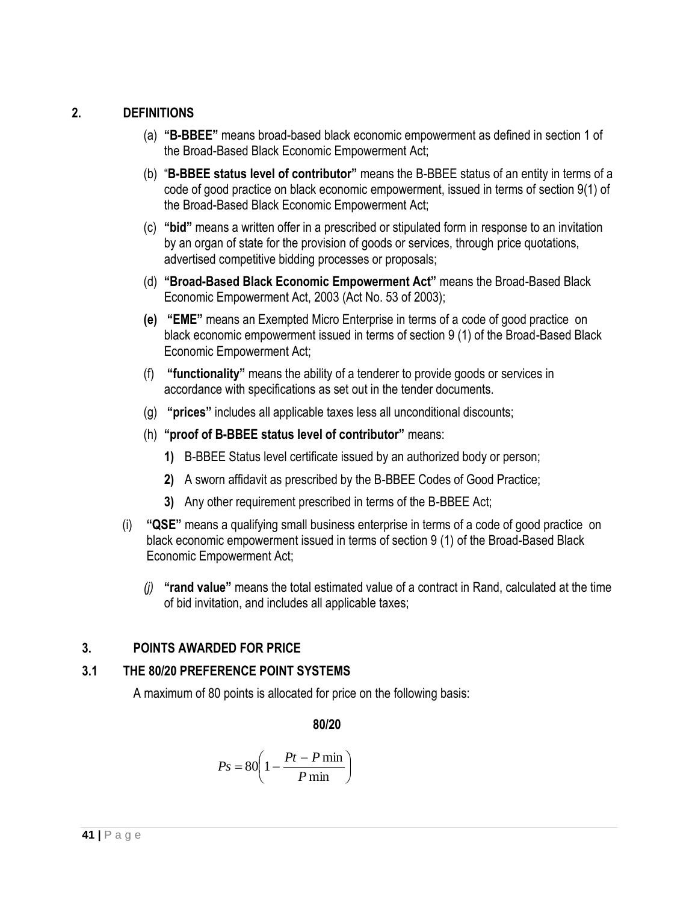# **2. DEFINITIONS**

- (a) **"B-BBEE"** means broad-based black economic empowerment as defined in section 1 of the Broad-Based Black Economic Empowerment Act;
- (b) "**B-BBEE status level of contributor"** means the B-BBEE status of an entity in terms of a code of good practice on black economic empowerment, issued in terms of section 9(1) of the Broad-Based Black Economic Empowerment Act;
- (c) **"bid"** means a written offer in a prescribed or stipulated form in response to an invitation by an organ of state for the provision of goods or services, through price quotations, advertised competitive bidding processes or proposals;
- (d) **"Broad-Based Black Economic Empowerment Act"** means the Broad-Based Black Economic Empowerment Act, 2003 (Act No. 53 of 2003);
- **(e) "EME"** means an Exempted Micro Enterprise in terms of a code of good practice on black economic empowerment issued in terms of section 9 (1) of the Broad-Based Black Economic Empowerment Act;
- (f) **"functionality"** means the ability of a tenderer to provide goods or services in accordance with specifications as set out in the tender documents.
- (g) **"prices"** includes all applicable taxes less all unconditional discounts;
- (h) **"proof of B-BBEE status level of contributor"** means:
	- **1)** B-BBEE Status level certificate issued by an authorized body or person;
	- **2)** A sworn affidavit as prescribed by the B-BBEE Codes of Good Practice;
	- **3)** Any other requirement prescribed in terms of the B-BBEE Act;
- (i) **"QSE"** means a qualifying small business enterprise in terms of a code of good practice on black economic empowerment issued in terms of section 9 (1) of the Broad-Based Black Economic Empowerment Act;
	- *(j)* **"rand value"** means the total estimated value of a contract in Rand, calculated at the time of bid invitation, and includes all applicable taxes;

# **3. POINTS AWARDED FOR PRICE**

# **3.1 THE 80/20 PREFERENCE POINT SYSTEMS**

A maximum of 80 points is allocated for price on the following basis:

**80/20**

$$
Ps = 80 \left( 1 - \frac{Pt - P \min}{P \min} \right)
$$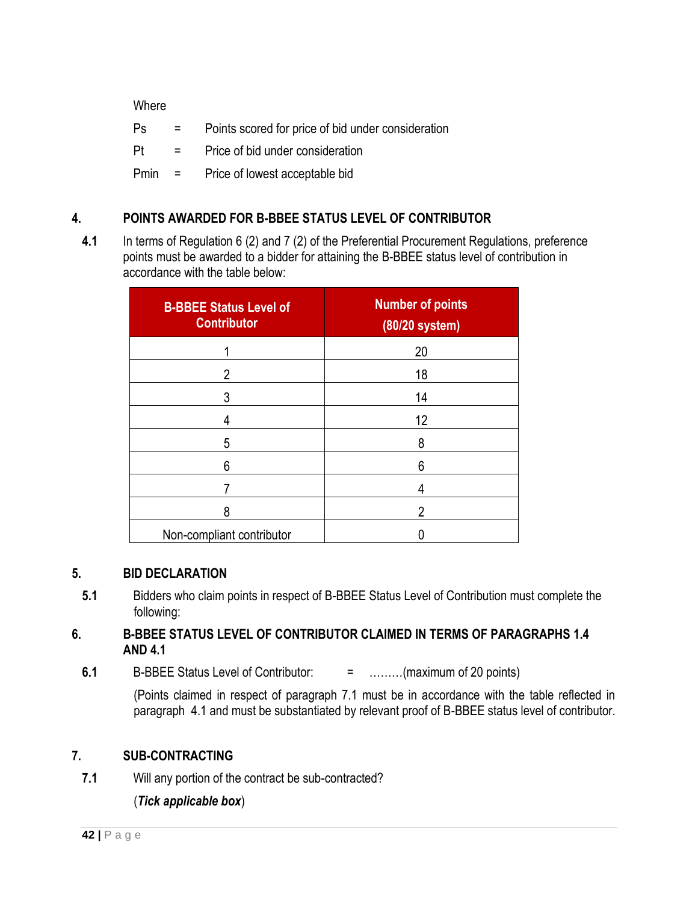**Where** 

| Ps       | in the control       | Points scored for price of bid under consideration |
|----------|----------------------|----------------------------------------------------|
| Pt       | <b>Service</b> State | Price of bid under consideration                   |
| $Pmin =$ |                      | Price of lowest acceptable bid                     |

# **4. POINTS AWARDED FOR B-BBEE STATUS LEVEL OF CONTRIBUTOR**

**4.1** In terms of Regulation 6 (2) and 7 (2) of the Preferential Procurement Regulations, preference points must be awarded to a bidder for attaining the B-BBEE status level of contribution in accordance with the table below:

| <b>B-BBEE Status Level of</b><br><b>Contributor</b> | <b>Number of points</b><br>(80/20 system) |
|-----------------------------------------------------|-------------------------------------------|
|                                                     | 20                                        |
| 2                                                   | 18                                        |
| 3                                                   | 14                                        |
| 4                                                   | 12                                        |
| 5                                                   | 8                                         |
| 6                                                   | 6                                         |
|                                                     | 4                                         |
| 8                                                   | $\overline{2}$                            |
| Non-compliant contributor                           |                                           |

# **5. BID DECLARATION**

**5.1** Bidders who claim points in respect of B-BBEE Status Level of Contribution must complete the following:

# **6. B-BBEE STATUS LEVEL OF CONTRIBUTOR CLAIMED IN TERMS OF PARAGRAPHS 1.4 AND 4.1**

**6.1** B-BBEE Status Level of Contributor: = ………(maximum of 20 points)

(Points claimed in respect of paragraph 7.1 must be in accordance with the table reflected in paragraph 4.1 and must be substantiated by relevant proof of B-BBEE status level of contributor.

# **7. SUB-CONTRACTING**

**7.1** Will any portion of the contract be sub-contracted?

(*Tick applicable box*)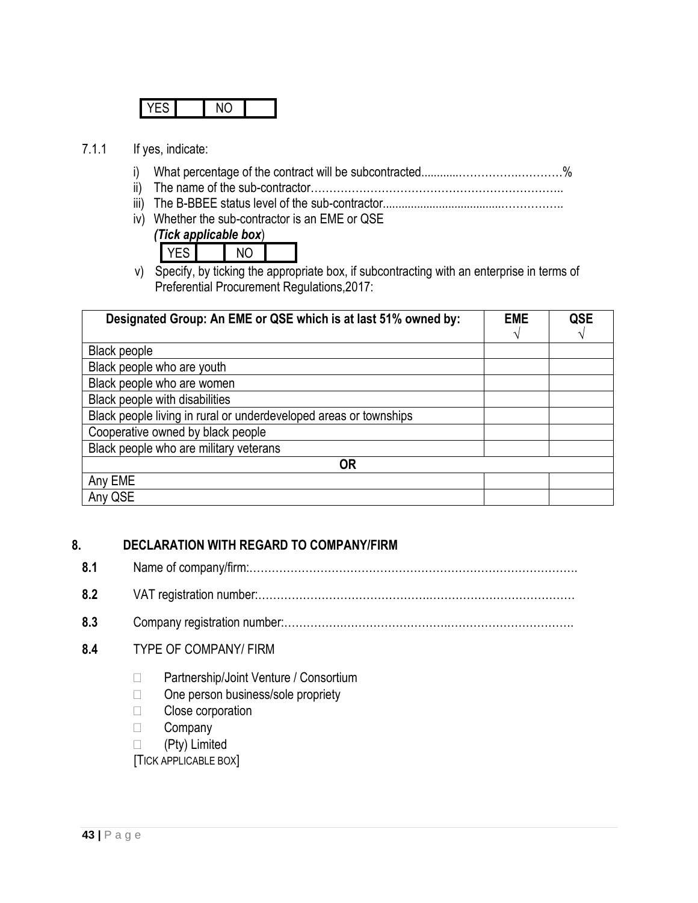#### 7.1.1 If yes, indicate:

- i) What percentage of the contract will be subcontracted............…………….…………%
- ii) The name of the sub-contractor…………………………………………………………..
- iii) The B-BBEE status level of the sub-contractor......................................……………..
- iv) Whether the sub-contractor is an EME or QSE
	- *(Tick applicable box*)

YES NO

v) Specify, by ticking the appropriate box, if subcontracting with an enterprise in terms of Preferential Procurement Regulations,2017:

| Designated Group: An EME or QSE which is at last 51% owned by:    | <b>EME</b> | QSE |
|-------------------------------------------------------------------|------------|-----|
|                                                                   |            |     |
| Black people                                                      |            |     |
| Black people who are youth                                        |            |     |
| Black people who are women                                        |            |     |
| Black people with disabilities                                    |            |     |
| Black people living in rural or underdeveloped areas or townships |            |     |
| Cooperative owned by black people                                 |            |     |
| Black people who are military veterans                            |            |     |
| <b>OR</b>                                                         |            |     |
| Any EME                                                           |            |     |
| Any QSE                                                           |            |     |

# **8. DECLARATION WITH REGARD TO COMPANY/FIRM**

- **8.1** Name of company/firm:…………………………………………………………………………….
- **8.2** VAT registration number:……………………………………….…………………………………
- **8.3** Company registration number:…………….……………………….…………………………….
- **8.4** TYPE OF COMPANY/ FIRM
	- □ Partnership/Joint Venture / Consortium
	- $\Box$  One person business/sole propriety
	- □ Close corporation
	- **Company**
	- □ (Pty) Limited

[TICK APPLICABLE BOX]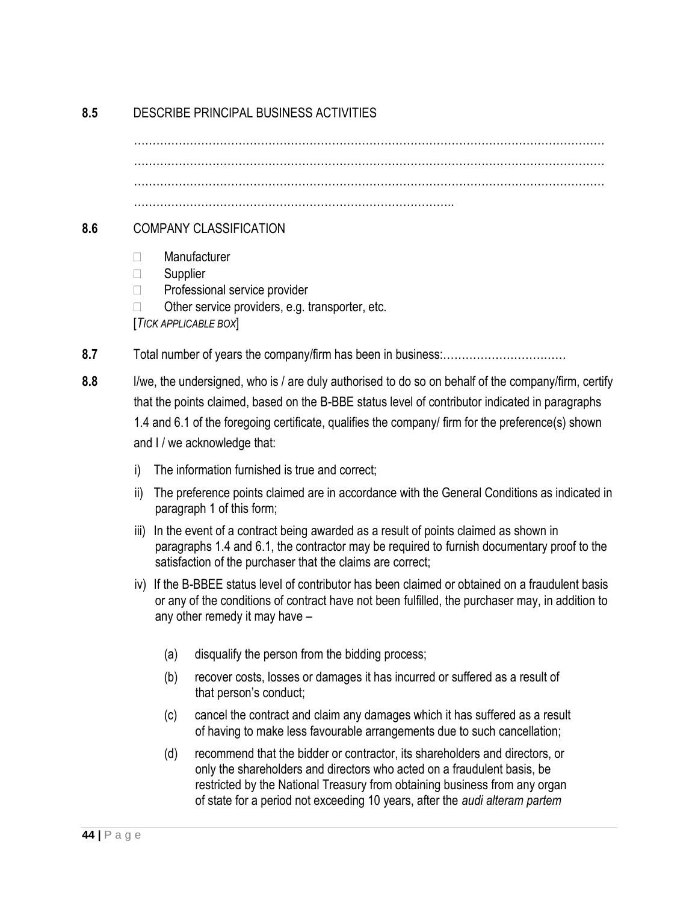# **8.5** DESCRIBE PRINCIPAL BUSINESS ACTIVITIES

 $\mathcal{L}^{\text{max}}_{\text{max}}$ ……………………………………………………………………………………………………………… …………………………………………………………………………..

#### **8.6** COMPANY CLASSIFICATION

- Manufacturer
- □ Supplier
- $\Box$  Professional service provider
- $\Box$  Other service providers, e.g. transporter, etc.
- [*TICK APPLICABLE BOX*]
- **8.7** Total number of years the company/firm has been in business:……………………………
- **8.8** I/we, the undersigned, who is / are duly authorised to do so on behalf of the company/firm, certify that the points claimed, based on the B-BBE status level of contributor indicated in paragraphs 1.4 and 6.1 of the foregoing certificate, qualifies the company/ firm for the preference(s) shown and I / we acknowledge that:
	- i) The information furnished is true and correct;
	- ii) The preference points claimed are in accordance with the General Conditions as indicated in paragraph 1 of this form;
	- iii) In the event of a contract being awarded as a result of points claimed as shown in paragraphs 1.4 and 6.1, the contractor may be required to furnish documentary proof to the satisfaction of the purchaser that the claims are correct;
	- iv) If the B-BBEE status level of contributor has been claimed or obtained on a fraudulent basis or any of the conditions of contract have not been fulfilled, the purchaser may, in addition to any other remedy it may have –
		- (a) disqualify the person from the bidding process;
		- (b) recover costs, losses or damages it has incurred or suffered as a result of that person's conduct;
		- (c) cancel the contract and claim any damages which it has suffered as a result of having to make less favourable arrangements due to such cancellation;
		- (d) recommend that the bidder or contractor, its shareholders and directors, or only the shareholders and directors who acted on a fraudulent basis, be restricted by the National Treasury from obtaining business from any organ of state for a period not exceeding 10 years, after the *audi alteram partem*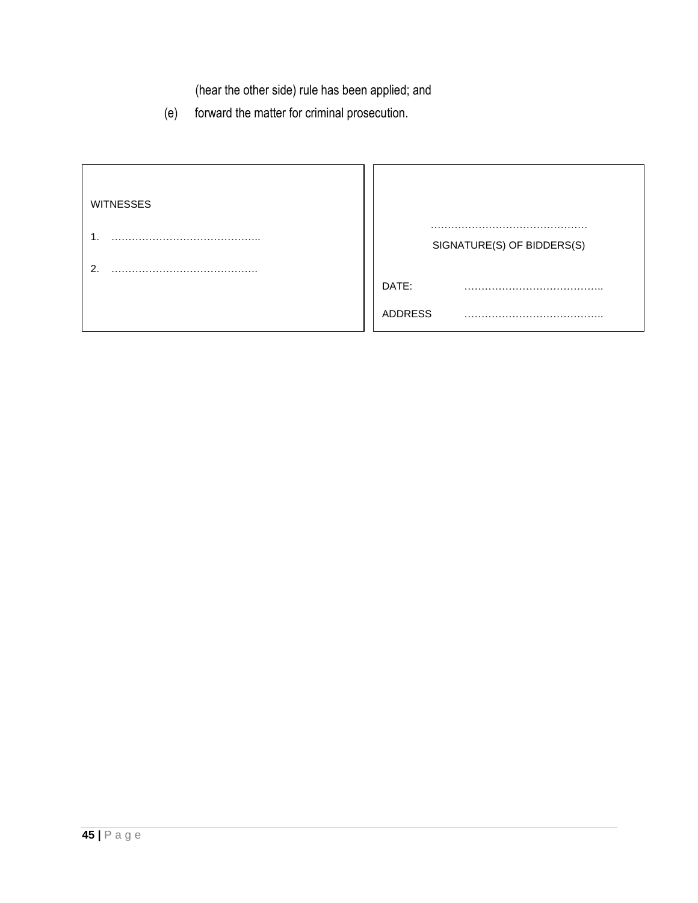(hear the other side) rule has been applied; and

(e) forward the matter for criminal prosecution.

| <b>WITNESSES</b> |                            |
|------------------|----------------------------|
| ◠                | SIGNATURE(S) OF BIDDERS(S) |
|                  | DATE:                      |
|                  | ADDRESS                    |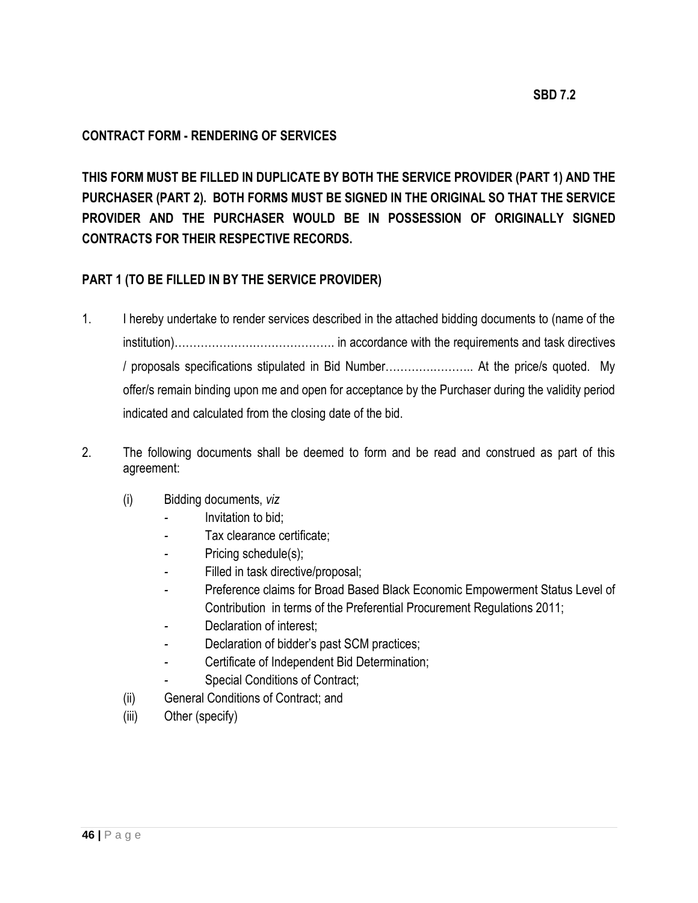#### **CONTRACT FORM - RENDERING OF SERVICES**

**THIS FORM MUST BE FILLED IN DUPLICATE BY BOTH THE SERVICE PROVIDER (PART 1) AND THE PURCHASER (PART 2). BOTH FORMS MUST BE SIGNED IN THE ORIGINAL SO THAT THE SERVICE PROVIDER AND THE PURCHASER WOULD BE IN POSSESSION OF ORIGINALLY SIGNED CONTRACTS FOR THEIR RESPECTIVE RECORDS.**

#### **PART 1 (TO BE FILLED IN BY THE SERVICE PROVIDER)**

- 1. I hereby undertake to render services described in the attached bidding documents to (name of the institution)……………………………………. in accordance with the requirements and task directives / proposals specifications stipulated in Bid Number………….……….. At the price/s quoted. My offer/s remain binding upon me and open for acceptance by the Purchaser during the validity period indicated and calculated from the closing date of the bid.
- 2. The following documents shall be deemed to form and be read and construed as part of this agreement:
	- (i) Bidding documents, *viz*
		- *-* Invitation to bid;
		- *-* Tax clearance certificate;
		- Pricing schedule(s);
		- *-* Filled in task directive/proposal;
		- *-* Preference claims for Broad Based Black Economic Empowerment Status Level of Contribution in terms of the Preferential Procurement Regulations 2011;
		- *-* Declaration of interest;
		- *-* Declaration of bidder's past SCM practices;
		- *-* Certificate of Independent Bid Determination;
		- *-* Special Conditions of Contract;
	- (ii) General Conditions of Contract; and
	- (iii) Other (specify)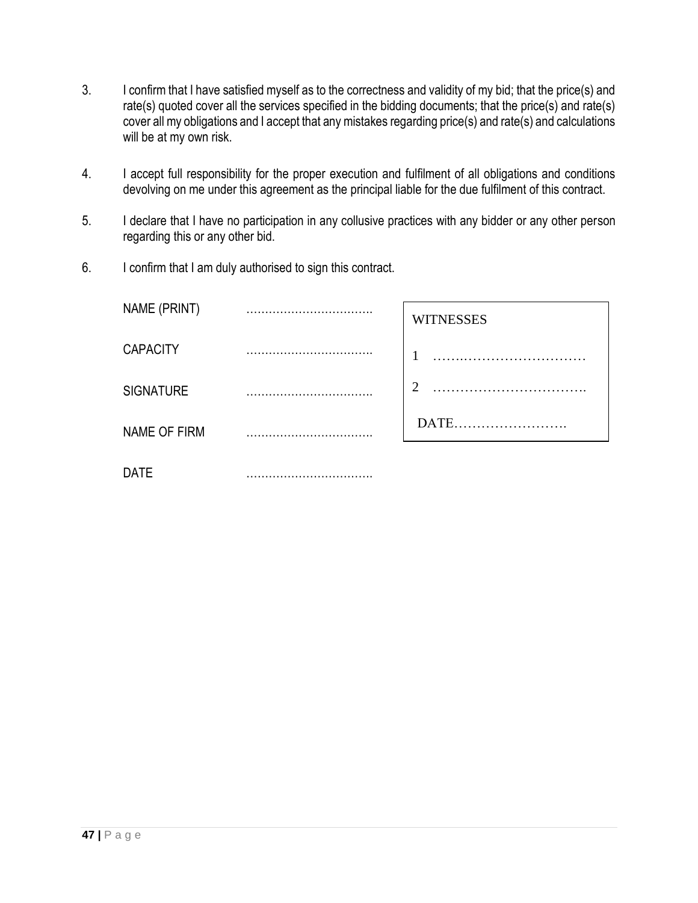- 3. I confirm that I have satisfied myself as to the correctness and validity of my bid; that the price(s) and rate(s) quoted cover all the services specified in the bidding documents; that the price(s) and rate(s) cover all my obligations and I accept that any mistakes regarding price(s) and rate(s) and calculations will be at my own risk.
- 4. I accept full responsibility for the proper execution and fulfilment of all obligations and conditions devolving on me under this agreement as the principal liable for the due fulfilment of this contract.
- 5. I declare that I have no participation in any collusive practices with any bidder or any other person regarding this or any other bid.
- 6. I confirm that I am duly authorised to sign this contract.

| NAME (PRINT)     |        | <b>WITNESSES</b> |
|------------------|--------|------------------|
| <b>CAPACITY</b>  |        | 1                |
| <b>SIGNATURE</b> |        | ി                |
| NAME OF FIRM     |        | <b>DATE</b>      |
| <b>DATE</b>      | .<br>. |                  |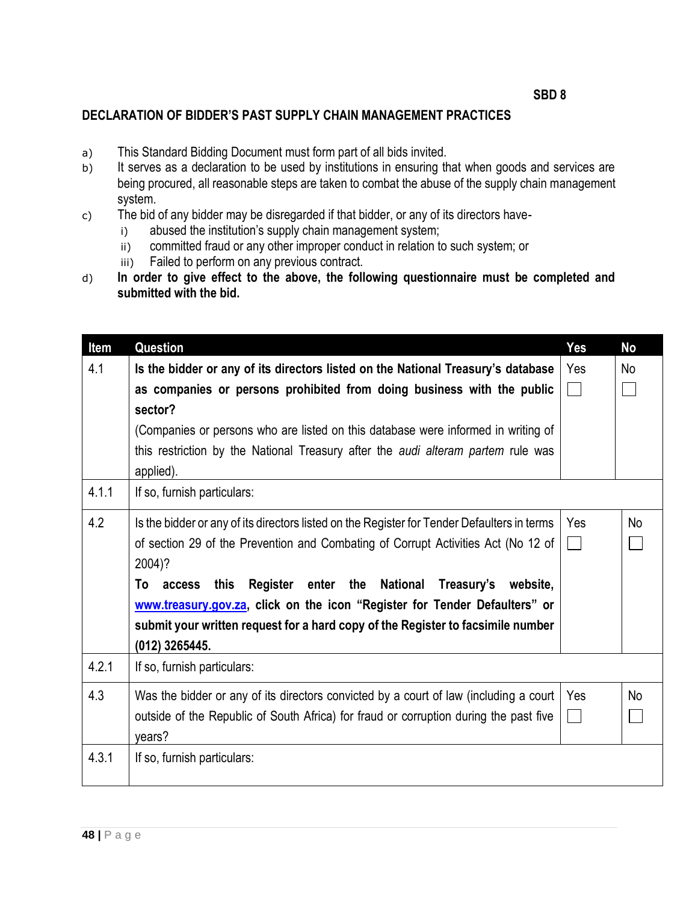#### **DECLARATION OF BIDDER'S PAST SUPPLY CHAIN MANAGEMENT PRACTICES**

- a) This Standard Bidding Document must form part of all bids invited.
- b) It serves as a declaration to be used by institutions in ensuring that when goods and services are being procured, all reasonable steps are taken to combat the abuse of the supply chain management system.
- c) The bid of any bidder may be disregarded if that bidder, or any of its directors have
	- i) abused the institution's supply chain management system;
	- ii) committed fraud or any other improper conduct in relation to such system; or
	- iii) Failed to perform on any previous contract.
- d) **In order to give effect to the above, the following questionnaire must be completed and submitted with the bid.**

| Item  | <b>Question</b>                                                                             | Yes    | <b>No</b> |
|-------|---------------------------------------------------------------------------------------------|--------|-----------|
| 4.1   | Is the bidder or any of its directors listed on the National Treasury's database            | Yes    | No        |
|       | as companies or persons prohibited from doing business with the public                      | $\Box$ |           |
|       | sector?                                                                                     |        |           |
|       | (Companies or persons who are listed on this database were informed in writing of           |        |           |
|       | this restriction by the National Treasury after the <i>audi alteram partem</i> rule was     |        |           |
|       | applied).                                                                                   |        |           |
| 4.1.1 | If so, furnish particulars:                                                                 |        |           |
| 4.2   | Is the bidder or any of its directors listed on the Register for Tender Defaulters in terms | Yes    | <b>No</b> |
|       | of section 29 of the Prevention and Combating of Corrupt Activities Act (No 12 of           |        |           |
|       | 2004)?                                                                                      |        |           |
|       | Register enter the National<br>Treasury's<br>this<br>website.<br>Τo<br>access               |        |           |
|       | www.treasury.gov.za, click on the icon "Register for Tender Defaulters" or                  |        |           |
|       | submit your written request for a hard copy of the Register to facsimile number             |        |           |
|       | (012) 3265445.                                                                              |        |           |
| 4.2.1 | If so, furnish particulars:                                                                 |        |           |
| 4.3   | Was the bidder or any of its directors convicted by a court of law (including a court       | Yes    | <b>No</b> |
|       | outside of the Republic of South Africa) for fraud or corruption during the past five       | $\Box$ |           |
|       | vears?                                                                                      |        |           |
| 4.3.1 | If so, furnish particulars:                                                                 |        |           |
|       |                                                                                             |        |           |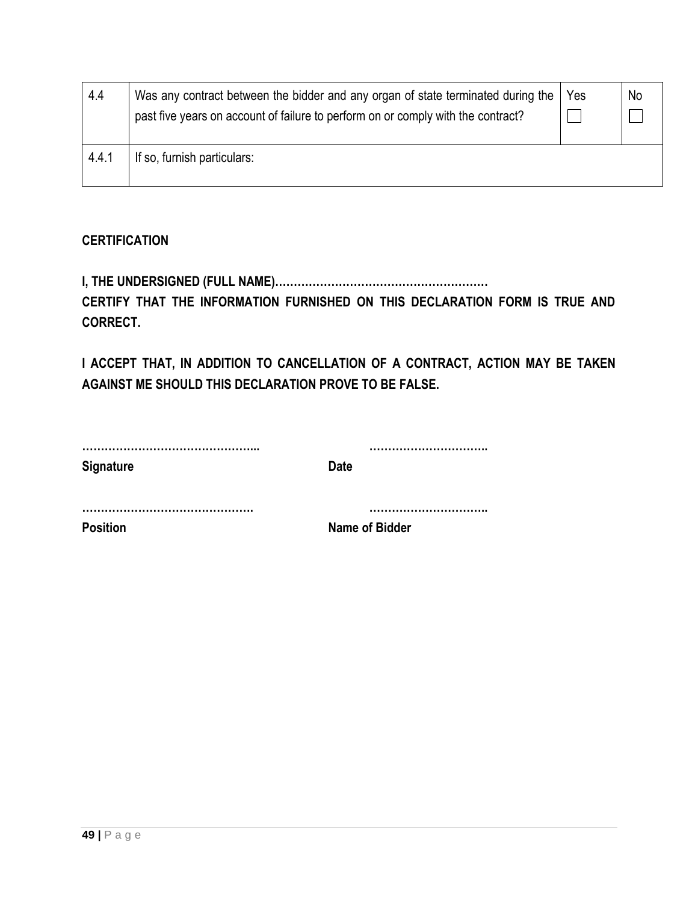| 4.4   | Was any contract between the bidder and any organ of state terminated during the<br>past five years on account of failure to perform on or comply with the contract? | Yes | No |
|-------|----------------------------------------------------------------------------------------------------------------------------------------------------------------------|-----|----|
| 4.4.1 | If so, furnish particulars:                                                                                                                                          |     |    |

# **CERTIFICATION**

**I, THE UNDERSIGNED (FULL NAME)…………………………………………………**

**CERTIFY THAT THE INFORMATION FURNISHED ON THIS DECLARATION FORM IS TRUE AND CORRECT.**

**I ACCEPT THAT, IN ADDITION TO CANCELLATION OF A CONTRACT, ACTION MAY BE TAKEN AGAINST ME SHOULD THIS DECLARATION PROVE TO BE FALSE.**

| <b>Signature</b> | <b>Date</b>           |
|------------------|-----------------------|
|                  |                       |
| <b>Position</b>  | <b>Name of Bidder</b> |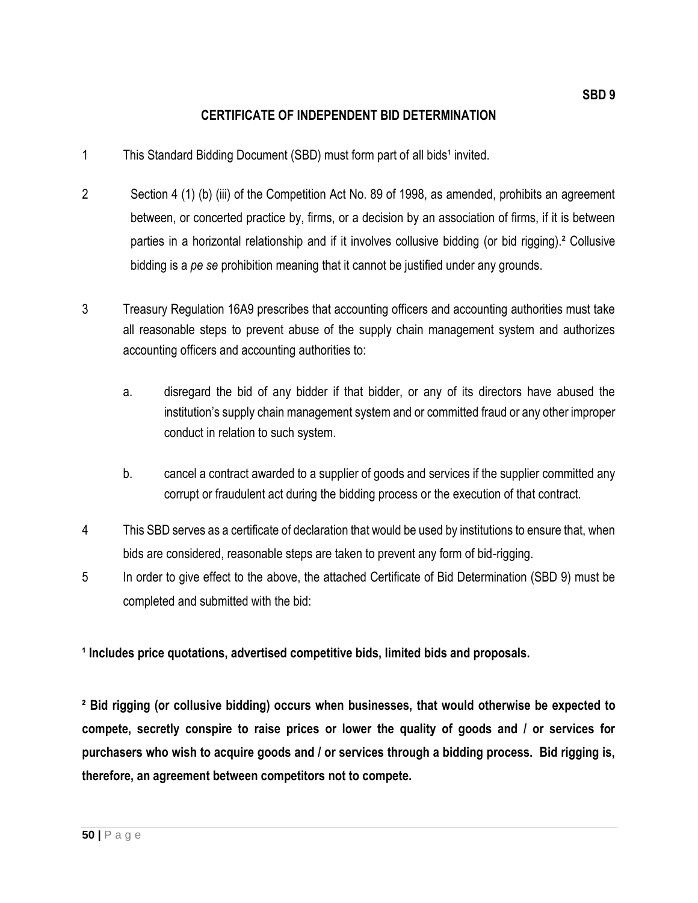#### **CERTIFICATE OF INDEPENDENT BID DETERMINATION**

- 1 This Standard Bidding Document (SBD) must form part of all bids<sup>1</sup> invited.
- 2 Section 4 (1) (b) (iii) of the Competition Act No. 89 of 1998, as amended, prohibits an agreement between, or concerted practice by, firms, or a decision by an association of firms, if it is between parties in a horizontal relationship and if it involves collusive bidding (or bid rigging).² Collusive bidding is a *pe se* prohibition meaning that it cannot be justified under any grounds.
- 3 Treasury Regulation 16A9 prescribes that accounting officers and accounting authorities must take all reasonable steps to prevent abuse of the supply chain management system and authorizes accounting officers and accounting authorities to:
	- a. disregard the bid of any bidder if that bidder, or any of its directors have abused the institution's supply chain management system and or committed fraud or any other improper conduct in relation to such system.
	- b. cancel a contract awarded to a supplier of goods and services if the supplier committed any corrupt or fraudulent act during the bidding process or the execution of that contract.
- 4 This SBD serves as a certificate of declaration that would be used by institutions to ensure that, when bids are considered, reasonable steps are taken to prevent any form of bid-rigging.
- 5 In order to give effect to the above, the attached Certificate of Bid Determination (SBD 9) must be completed and submitted with the bid:

**¹ Includes price quotations, advertised competitive bids, limited bids and proposals.**

**² Bid rigging (or collusive bidding) occurs when businesses, that would otherwise be expected to compete, secretly conspire to raise prices or lower the quality of goods and / or services for purchasers who wish to acquire goods and / or services through a bidding process. Bid rigging is, therefore, an agreement between competitors not to compete.**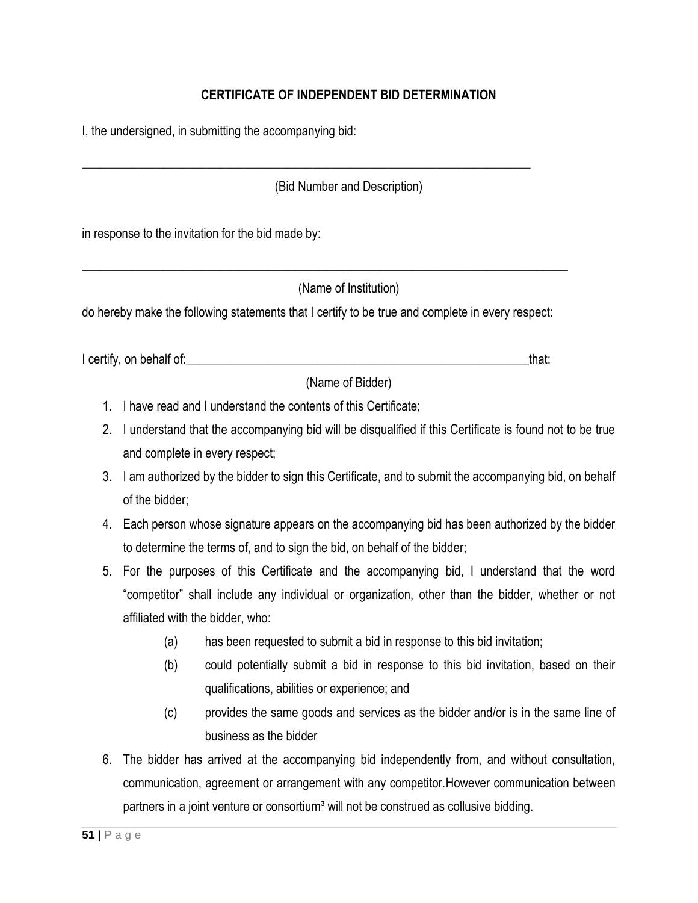## **CERTIFICATE OF INDEPENDENT BID DETERMINATION**

I, the undersigned, in submitting the accompanying bid:

(Bid Number and Description)

in response to the invitation for the bid made by:

(Name of Institution)

do hereby make the following statements that I certify to be true and complete in every respect:

\_\_\_\_\_\_\_\_\_\_\_\_\_\_\_\_\_\_\_\_\_\_\_\_\_\_\_\_\_\_\_\_\_\_\_\_\_\_\_\_\_\_\_\_\_\_\_\_\_\_\_\_\_\_\_\_\_\_\_\_\_\_\_\_\_\_\_\_\_\_\_\_\_\_\_\_\_\_

I certify, on behalf of: the state of the state of the state of the state of the state of the state of the stat

\_\_\_\_\_\_\_\_\_\_\_\_\_\_\_\_\_\_\_\_\_\_\_\_\_\_\_\_\_\_\_\_\_\_\_\_\_\_\_\_\_\_\_\_\_\_\_\_\_\_\_\_\_\_\_\_\_\_\_\_\_\_\_\_\_\_\_\_\_\_\_\_

(Name of Bidder)

- 1. I have read and I understand the contents of this Certificate;
- 2. I understand that the accompanying bid will be disqualified if this Certificate is found not to be true and complete in every respect;
- 3. I am authorized by the bidder to sign this Certificate, and to submit the accompanying bid, on behalf of the bidder;
- 4. Each person whose signature appears on the accompanying bid has been authorized by the bidder to determine the terms of, and to sign the bid, on behalf of the bidder;
- 5. For the purposes of this Certificate and the accompanying bid, I understand that the word "competitor" shall include any individual or organization, other than the bidder, whether or not affiliated with the bidder, who:
	- (a) has been requested to submit a bid in response to this bid invitation;
	- (b) could potentially submit a bid in response to this bid invitation, based on their qualifications, abilities or experience; and
	- (c) provides the same goods and services as the bidder and/or is in the same line of business as the bidder
- 6. The bidder has arrived at the accompanying bid independently from, and without consultation, communication, agreement or arrangement with any competitor.However communication between partners in a joint venture or consortium<sup>3</sup> will not be construed as collusive bidding.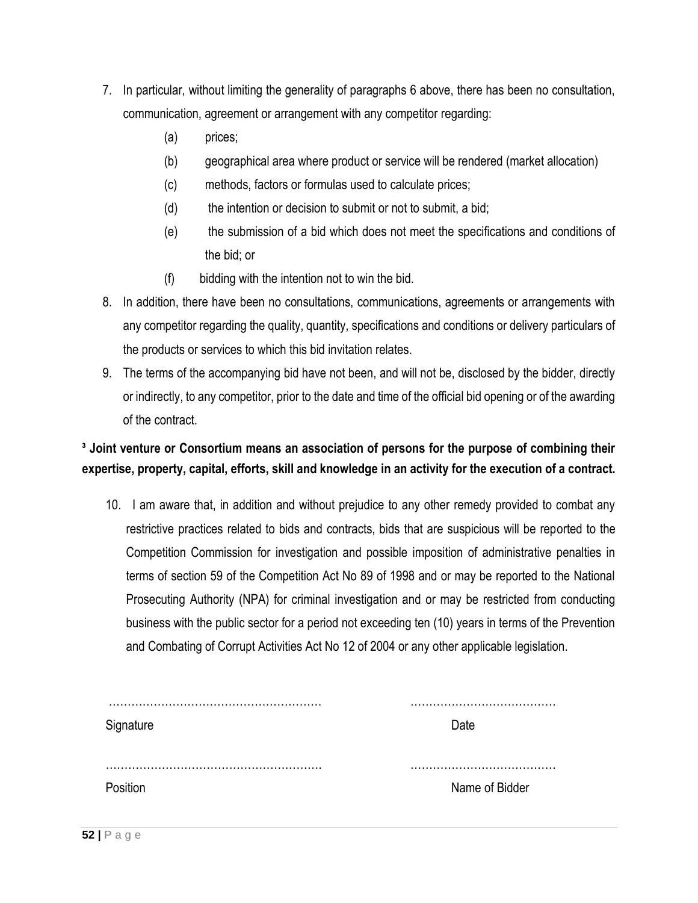- 7. In particular, without limiting the generality of paragraphs 6 above, there has been no consultation, communication, agreement or arrangement with any competitor regarding:
	- (a) prices;
	- (b) geographical area where product or service will be rendered (market allocation)
	- (c) methods, factors or formulas used to calculate prices;
	- (d) the intention or decision to submit or not to submit, a bid;
	- (e) the submission of a bid which does not meet the specifications and conditions of the bid; or
	- (f) bidding with the intention not to win the bid.
- 8. In addition, there have been no consultations, communications, agreements or arrangements with any competitor regarding the quality, quantity, specifications and conditions or delivery particulars of the products or services to which this bid invitation relates.
- 9. The terms of the accompanying bid have not been, and will not be, disclosed by the bidder, directly or indirectly, to any competitor, prior to the date and time of the official bid opening or of the awarding of the contract.

# **³ Joint venture or Consortium means an association of persons for the purpose of combining their expertise, property, capital, efforts, skill and knowledge in an activity for the execution of a contract.**

10. I am aware that, in addition and without prejudice to any other remedy provided to combat any restrictive practices related to bids and contracts, bids that are suspicious will be reported to the Competition Commission for investigation and possible imposition of administrative penalties in terms of section 59 of the Competition Act No 89 of 1998 and or may be reported to the National Prosecuting Authority (NPA) for criminal investigation and or may be restricted from conducting business with the public sector for a period not exceeding ten (10) years in terms of the Prevention and Combating of Corrupt Activities Act No 12 of 2004 or any other applicable legislation.

| Signature | Date           |
|-----------|----------------|
|           |                |
|           |                |
| Position  | Name of Bidder |
|           |                |